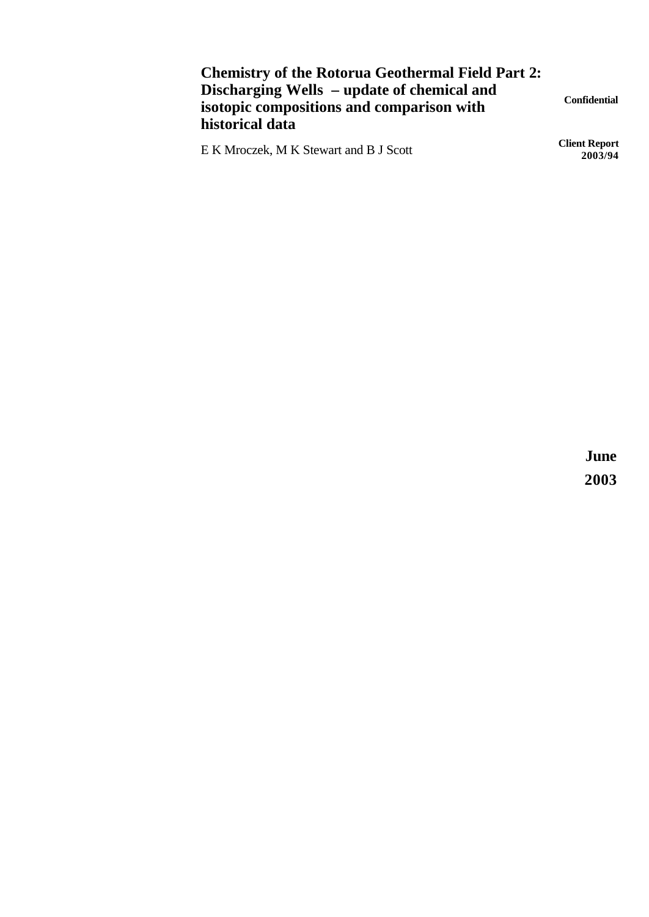## **Chemistry of the Rotorua Geothermal Field Part 2: Discharging Wells – update of chemical and isotopic compositions and comparison with historical data**

E K Mroczek, M K Stewart and B J Scott **Client Report** 

**Confidential**

**2003/94**

**June 2003**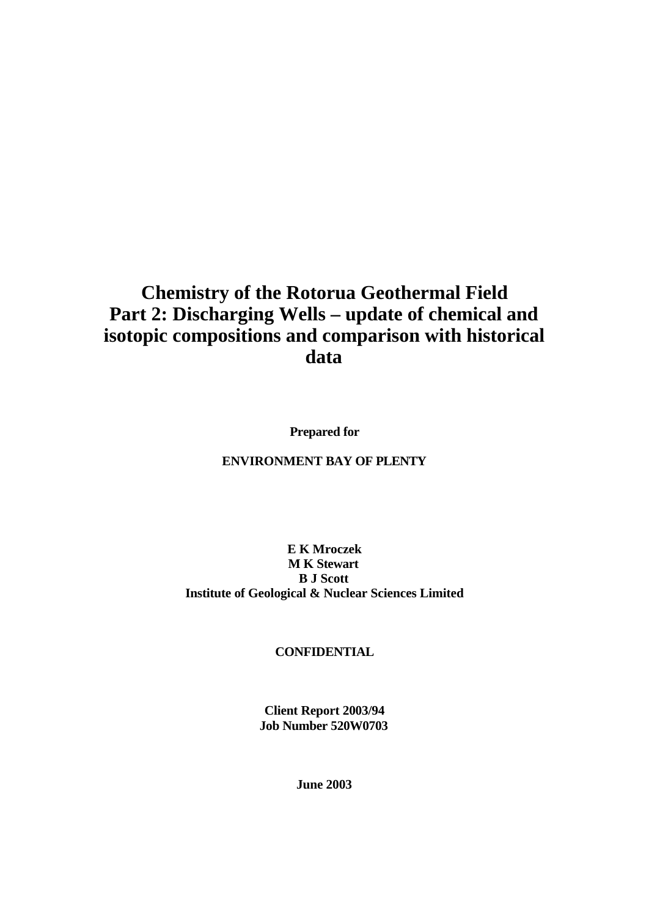# **Chemistry of the Rotorua Geothermal Field Part 2: Discharging Wells – update of chemical and isotopic compositions and comparison with historical data**

**Prepared for**

### **ENVIRONMENT BAY OF PLENTY**

#### **E K Mroczek M K Stewart B J Scott Institute of Geological & Nuclear Sciences Limited**

#### **CONFIDENTIAL**

**Client Report 2003/94 Job Number 520W0703**

**June 2003**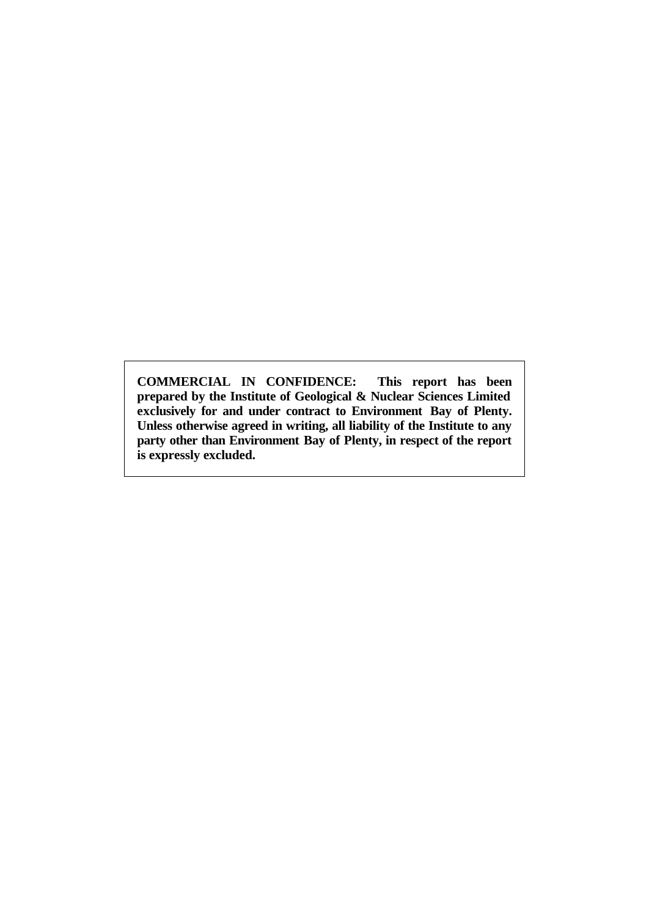**COMMERCIAL IN CONFIDENCE: This report has been prepared by the Institute of Geological & Nuclear Sciences Limited exclusively for and under contract to Environment Bay of Plenty. Unless otherwise agreed in writing, all liability of the Institute to any party other than Environment Bay of Plenty, in respect of the report is expressly excluded.**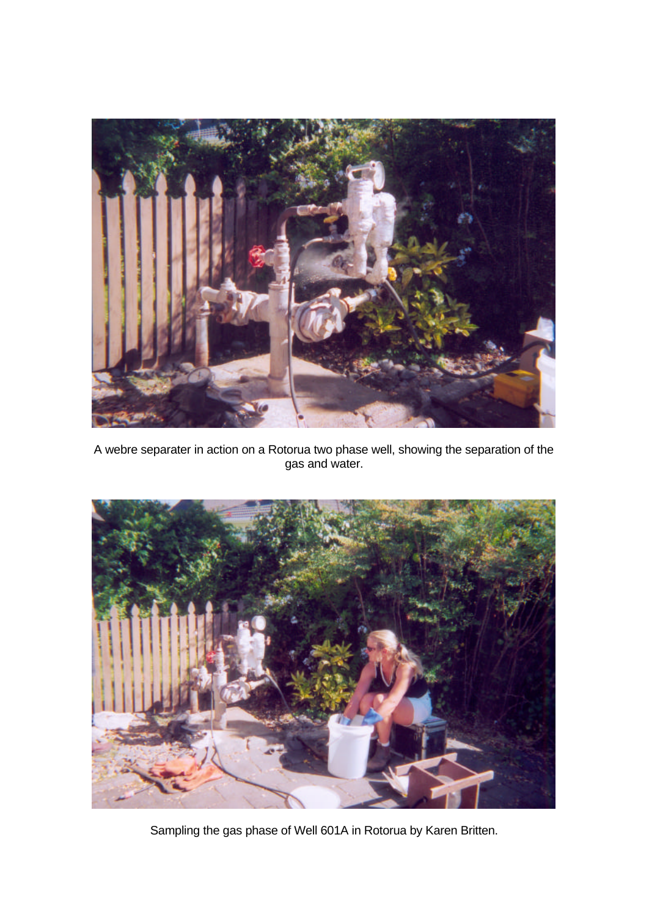

A webre separater in action on a Rotorua two phase well, showing the separation of the gas and water.



Sampling the gas phase of Well 601A in Rotorua by Karen Britten.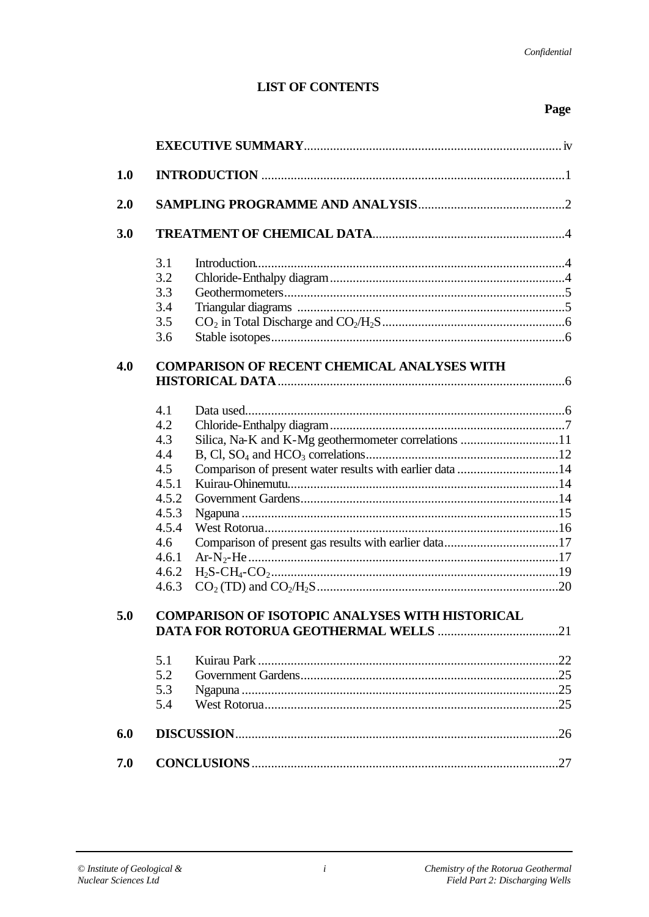### **LIST OF CONTENTS**

## Page

| 1.0 |                                                                                                                                                                   |  |
|-----|-------------------------------------------------------------------------------------------------------------------------------------------------------------------|--|
| 2.0 |                                                                                                                                                                   |  |
| 3.0 |                                                                                                                                                                   |  |
|     | 3.1<br>3.2<br>3.3<br>3.4<br>3.5<br>3.6                                                                                                                            |  |
| 4.0 | <b>COMPARISON OF RECENT CHEMICAL ANALYSES WITH</b>                                                                                                                |  |
|     | 4.1<br>4.2<br>4.3<br>4.4<br>4.5<br>Comparison of present water results with earlier data 14<br>4.5.1<br>4.5.2<br>4.5.3<br>4.5.4<br>4.6<br>4.6.1<br>4.6.2<br>4.6.3 |  |
| 5.0 | <b>COMPARISON OF ISOTOPIC ANALYSES WITH HISTORICAL</b>                                                                                                            |  |
|     | 5.1<br>5.2<br>5.3<br>5.4                                                                                                                                          |  |
| 6.0 |                                                                                                                                                                   |  |
| 7.0 |                                                                                                                                                                   |  |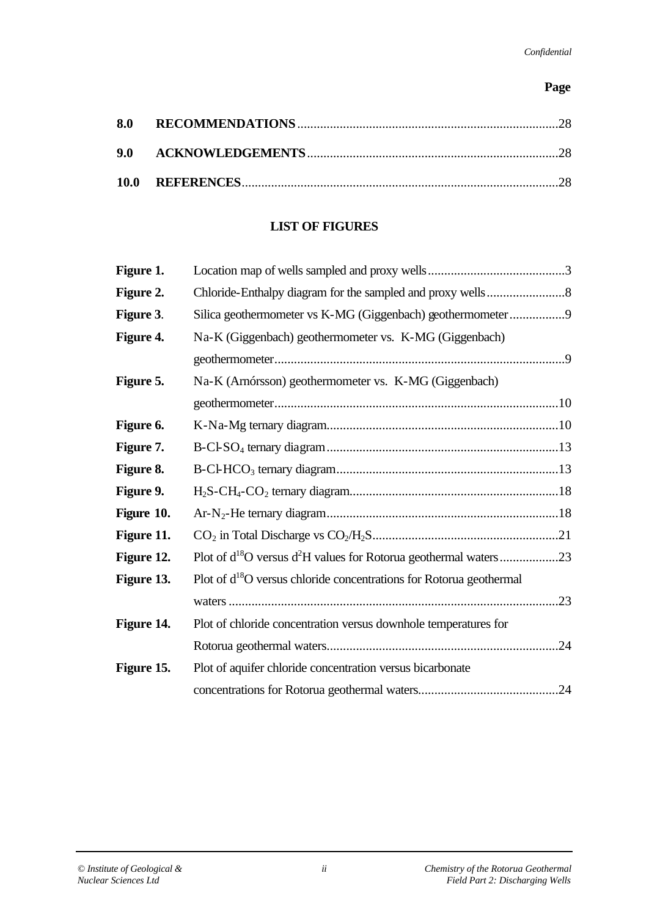### **Page**

## **LIST OF FIGURES**

| Figure 1.  |                                                                         |  |
|------------|-------------------------------------------------------------------------|--|
| Figure 2.  |                                                                         |  |
| Figure 3.  | Silica geothermometer vs K-MG (Giggenbach) geothermometer9              |  |
| Figure 4.  | Na-K (Giggenbach) geothermometer vs. K-MG (Giggenbach)                  |  |
|            |                                                                         |  |
| Figure 5.  | Na-K (Arnórsson) geothermometer vs. K-MG (Giggenbach)                   |  |
|            |                                                                         |  |
| Figure 6.  |                                                                         |  |
| Figure 7.  |                                                                         |  |
| Figure 8.  |                                                                         |  |
| Figure 9.  |                                                                         |  |
| Figure 10. |                                                                         |  |
| Figure 11. |                                                                         |  |
| Figure 12. |                                                                         |  |
| Figure 13. | Plot of $d^{18}O$ versus chloride concentrations for Rotorua geothermal |  |
|            |                                                                         |  |
| Figure 14. | Plot of chloride concentration versus downhole temperatures for         |  |
|            |                                                                         |  |
| Figure 15. | Plot of aquifer chloride concentration versus bicarbonate               |  |
|            |                                                                         |  |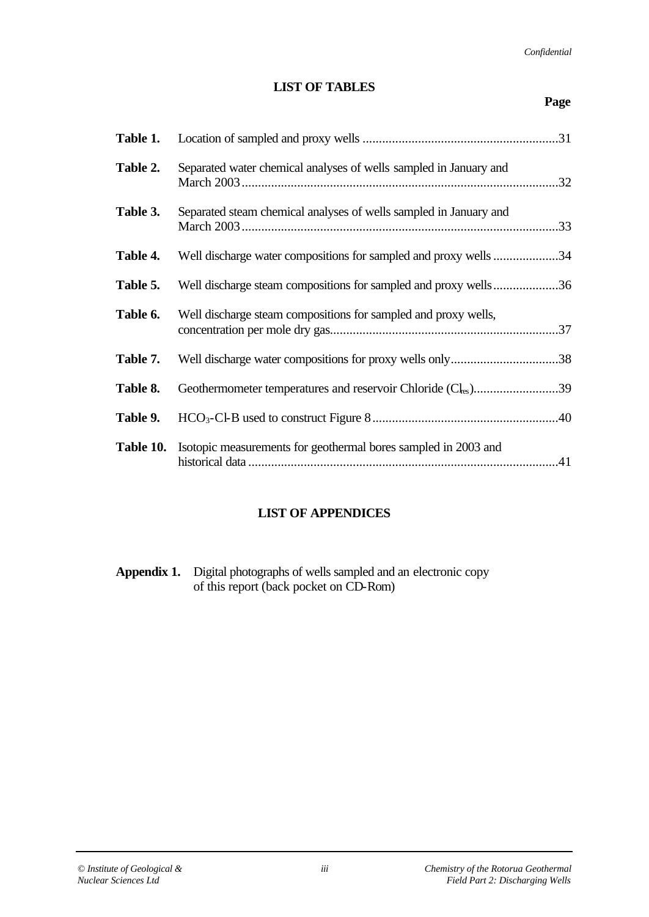#### **LIST OF TABLES**

| Table 1. |                                                                                 |
|----------|---------------------------------------------------------------------------------|
| Table 2. | Separated water chemical analyses of wells sampled in January and               |
| Table 3. | Separated steam chemical analyses of wells sampled in January and               |
| Table 4. | Well discharge water compositions for sampled and proxy wells 34                |
| Table 5. | Well discharge steam compositions for sampled and proxy wells36                 |
| Table 6. | Well discharge steam compositions for sampled and proxy wells,                  |
| Table 7. | Well discharge water compositions for proxy wells only38                        |
| Table 8. | Geothermometer temperatures and reservoir Chloride (Cl <sub>es</sub> )39        |
| Table 9. |                                                                                 |
|          | <b>Table 10.</b> Isotopic measurements for geothermal bores sampled in 2003 and |

## **LIST OF APPENDICES**

**Appendix 1.** Digital photographs of wells sampled and an electronic copy of this report (back pocket on CD-Rom)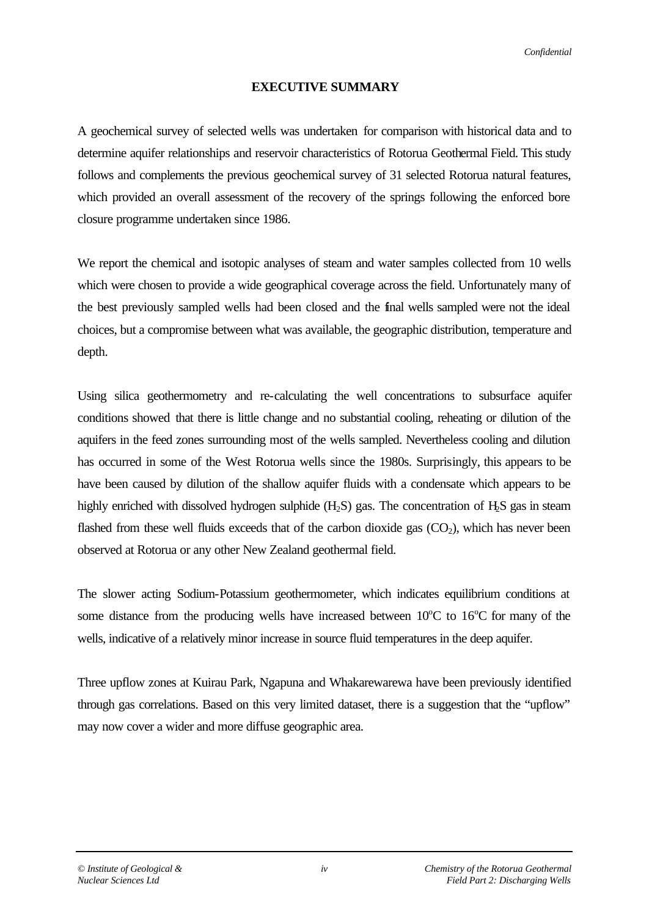#### *Confidential*

#### **EXECUTIVE SUMMARY**

A geochemical survey of selected wells was undertaken for comparison with historical data and to determine aquifer relationships and reservoir characteristics of Rotorua Geothermal Field. This study follows and complements the previous geochemical survey of 31 selected Rotorua natural features, which provided an overall assessment of the recovery of the springs following the enforced bore closure programme undertaken since 1986.

We report the chemical and isotopic analyses of steam and water samples collected from 10 wells which were chosen to provide a wide geographical coverage across the field. Unfortunately many of the best previously sampled wells had been closed and the final wells sampled were not the ideal choices, but a compromise between what was available, the geographic distribution, temperature and depth.

Using silica geothermometry and re-calculating the well concentrations to subsurface aquifer conditions showed that there is little change and no substantial cooling, reheating or dilution of the aquifers in the feed zones surrounding most of the wells sampled. Nevertheless cooling and dilution has occurred in some of the West Rotorua wells since the 1980s. Surprisingly, this appears to be have been caused by dilution of the shallow aquifer fluids with a condensate which appears to be highly enriched with dissolved hydrogen sulphide  $(H_2S)$  gas. The concentration of  $H_2S$  gas in steam flashed from these well fluids exceeds that of the carbon dioxide gas  $(CO<sub>2</sub>)$ , which has never been observed at Rotorua or any other New Zealand geothermal field.

The slower acting Sodium-Potassium geothermometer, which indicates equilibrium conditions at some distance from the producing wells have increased between  $10^{\circ}$ C to  $16^{\circ}$ C for many of the wells, indicative of a relatively minor increase in source fluid temperatures in the deep aquifer.

Three upflow zones at Kuirau Park, Ngapuna and Whakarewarewa have been previously identified through gas correlations. Based on this very limited dataset, there is a suggestion that the "upflow" may now cover a wider and more diffuse geographic area.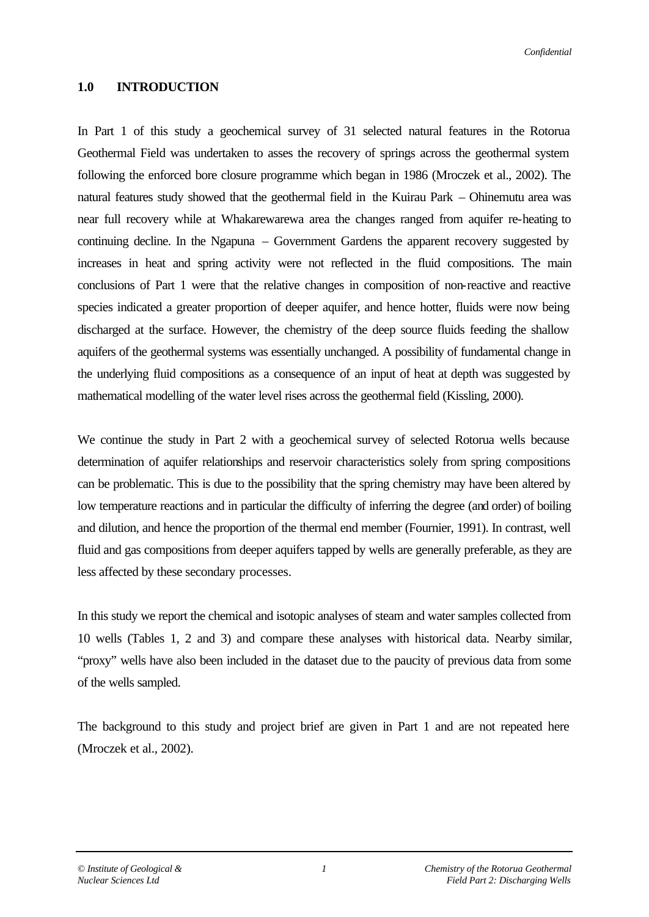#### **1.0 INTRODUCTION**

In Part 1 of this study a geochemical survey of 31 selected natural features in the Rotorua Geothermal Field was undertaken to asses the recovery of springs across the geothermal system following the enforced bore closure programme which began in 1986 (Mroczek et al., 2002). The natural features study showed that the geothermal field in the Kuirau Park – Ohinemutu area was near full recovery while at Whakarewarewa area the changes ranged from aquifer re-heating to continuing decline. In the Ngapuna – Government Gardens the apparent recovery suggested by increases in heat and spring activity were not reflected in the fluid compositions. The main conclusions of Part 1 were that the relative changes in composition of non-reactive and reactive species indicated a greater proportion of deeper aquifer, and hence hotter, fluids were now being discharged at the surface. However, the chemistry of the deep source fluids feeding the shallow aquifers of the geothermal systems was essentially unchanged. A possibility of fundamental change in the underlying fluid compositions as a consequence of an input of heat at depth was suggested by mathematical modelling of the water level rises across the geothermal field (Kissling, 2000).

We continue the study in Part 2 with a geochemical survey of selected Rotorua wells because determination of aquifer relationships and reservoir characteristics solely from spring compositions can be problematic. This is due to the possibility that the spring chemistry may have been altered by low temperature reactions and in particular the difficulty of inferring the degree (and order) of boiling and dilution, and hence the proportion of the thermal end member (Fournier, 1991). In contrast, well fluid and gas compositions from deeper aquifers tapped by wells are generally preferable, as they are less affected by these secondary processes.

In this study we report the chemical and isotopic analyses of steam and water samples collected from 10 wells (Tables 1, 2 and 3) and compare these analyses with historical data. Nearby similar, "proxy" wells have also been included in the dataset due to the paucity of previous data from some of the wells sampled.

The background to this study and project brief are given in Part 1 and are not repeated here (Mroczek et al., 2002).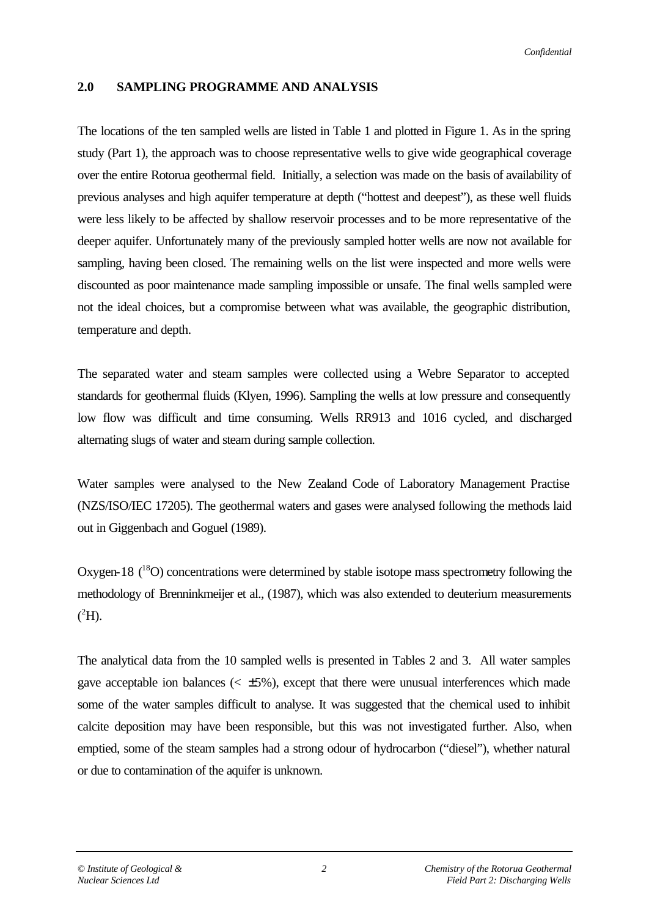#### *Confidential*

### **2.0 SAMPLING PROGRAMME AND ANALYSIS**

The locations of the ten sampled wells are listed in Table 1 and plotted in Figure 1. As in the spring study (Part 1), the approach was to choose representative wells to give wide geographical coverage over the entire Rotorua geothermal field. Initially, a selection was made on the basis of availability of previous analyses and high aquifer temperature at depth ("hottest and deepest"), as these well fluids were less likely to be affected by shallow reservoir processes and to be more representative of the deeper aquifer. Unfortunately many of the previously sampled hotter wells are now not available for sampling, having been closed. The remaining wells on the list were inspected and more wells were discounted as poor maintenance made sampling impossible or unsafe. The final wells sampled were not the ideal choices, but a compromise between what was available, the geographic distribution, temperature and depth.

The separated water and steam samples were collected using a Webre Separator to accepted standards for geothermal fluids (Klyen, 1996). Sampling the wells at low pressure and consequently low flow was difficult and time consuming. Wells RR913 and 1016 cycled, and discharged alternating slugs of water and steam during sample collection.

Water samples were analysed to the New Zealand Code of Laboratory Management Practise (NZS/ISO/IEC 17205). The geothermal waters and gases were analysed following the methods laid out in Giggenbach and Goguel (1989).

Oxygen-18  $(^{18}O)$  concentrations were determined by stable isotope mass spectrometry following the methodology of Brenninkmeijer et al., (1987), which was also extended to deuterium measurements  $(^2H)$ .

The analytical data from the 10 sampled wells is presented in Tables 2 and 3. All water samples gave acceptable ion balances  $\langle \langle \pm 5\% \rangle$ , except that there were unusual interferences which made some of the water samples difficult to analyse. It was suggested that the chemical used to inhibit calcite deposition may have been responsible, but this was not investigated further. Also, when emptied, some of the steam samples had a strong odour of hydrocarbon ("diesel"), whether natural or due to contamination of the aquifer is unknown.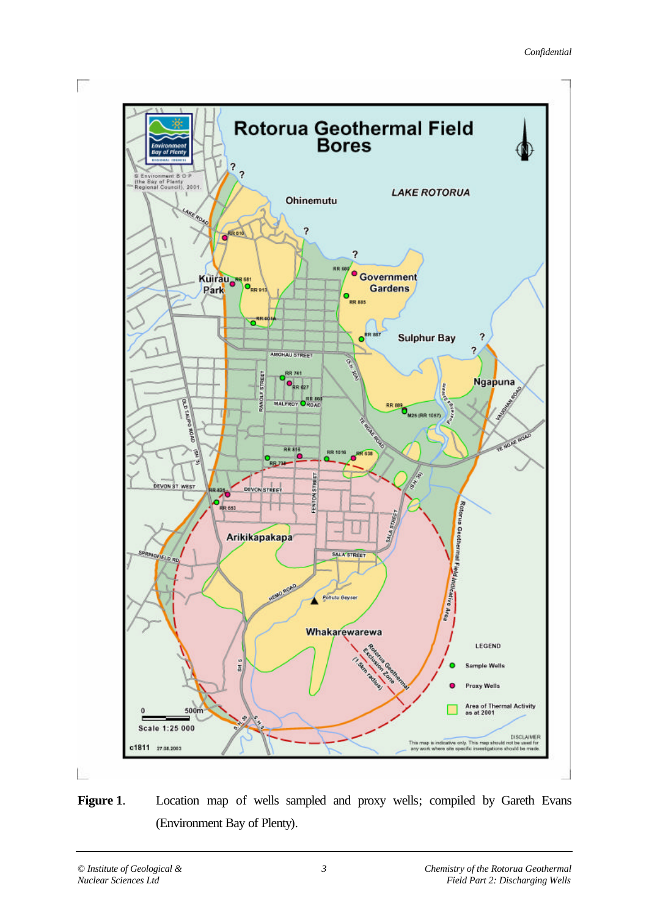

Figure 1. Location map of wells sampled and proxy wells; compiled by Gareth Evans (Environment Bay of Plenty).

 $\mathcal{L}_{\mathcal{F}}$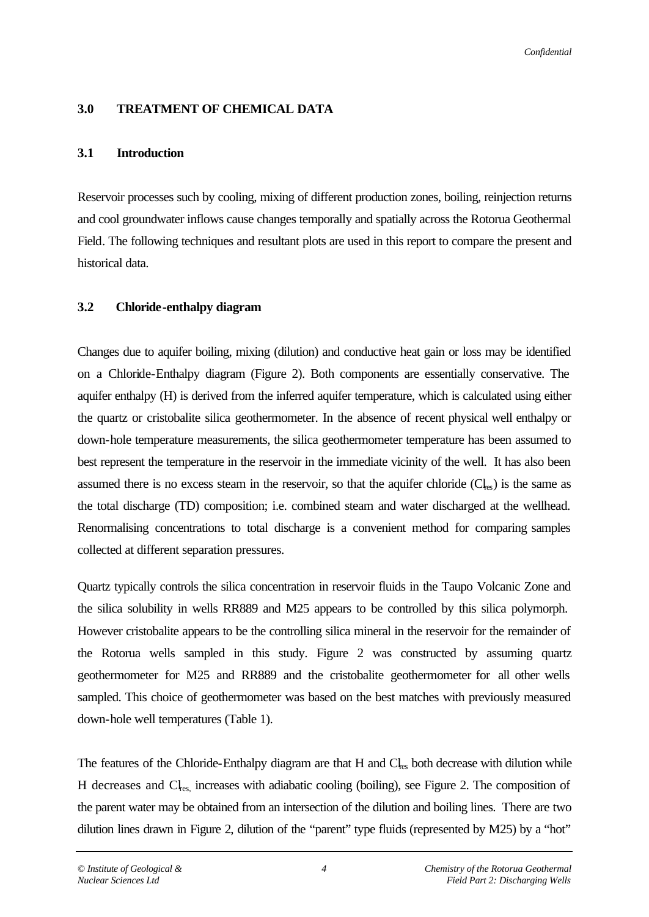### **3.0 TREATMENT OF CHEMICAL DATA**

### **3.1 Introduction**

Reservoir processes such by cooling, mixing of different production zones, boiling, reinjection returns and cool groundwater inflows cause changes temporally and spatially across the Rotorua Geothermal Field. The following techniques and resultant plots are used in this report to compare the present and historical data.

### **3.2 Chloride-enthalpy diagram**

Changes due to aquifer boiling, mixing (dilution) and conductive heat gain or loss may be identified on a Chloride-Enthalpy diagram (Figure 2). Both components are essentially conservative. The aquifer enthalpy (H) is derived from the inferred aquifer temperature, which is calculated using either the quartz or cristobalite silica geothermometer. In the absence of recent physical well enthalpy or down-hole temperature measurements, the silica geothermometer temperature has been assumed to best represent the temperature in the reservoir in the immediate vicinity of the well. It has also been assumed there is no excess steam in the reservoir, so that the aquifer chloride  $Cl_{res}$ ) is the same as the total discharge (TD) composition; i.e. combined steam and water discharged at the wellhead. Renormalising concentrations to total discharge is a convenient method for comparing samples collected at different separation pressures.

Quartz typically controls the silica concentration in reservoir fluids in the Taupo Volcanic Zone and the silica solubility in wells RR889 and M25 appears to be controlled by this silica polymorph. However cristobalite appears to be the controlling silica mineral in the reservoir for the remainder of the Rotorua wells sampled in this study. Figure 2 was constructed by assuming quartz geothermometer for M25 and RR889 and the cristobalite geothermometer for all other wells sampled. This choice of geothermometer was based on the best matches with previously measured down-hole well temperatures (Table 1).

The features of the Chloride-Enthalpy diagram are that H and  $Cl_{\text{res}}$  both decrease with dilution while H decreases and Cl<sub>res,</sub> increases with adiabatic cooling (boiling), see Figure 2. The composition of the parent water may be obtained from an intersection of the dilution and boiling lines. There are two dilution lines drawn in Figure 2, dilution of the "parent" type fluids (represented by M25) by a "hot"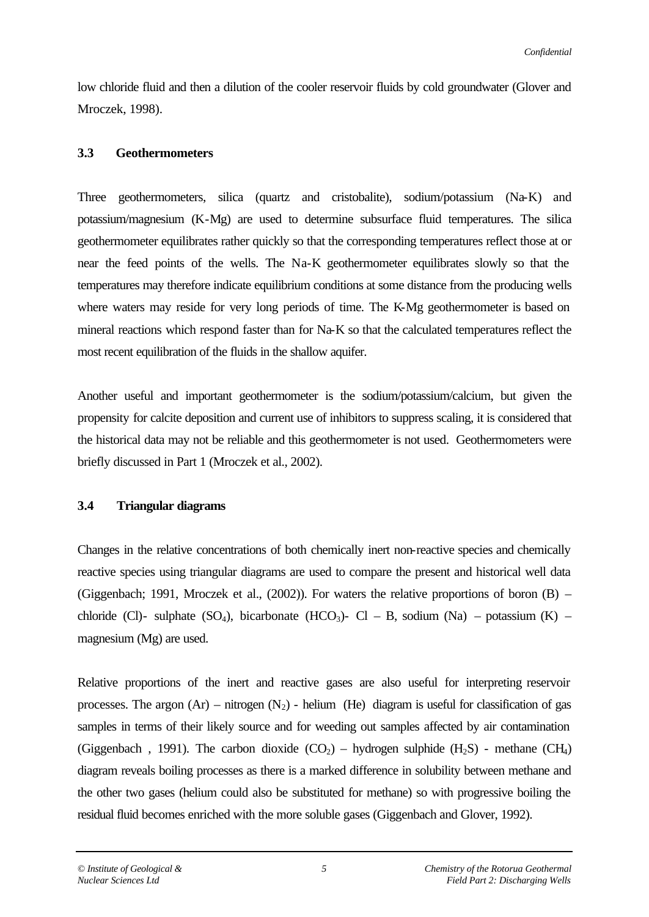low chloride fluid and then a dilution of the cooler reservoir fluids by cold groundwater (Glover and Mroczek, 1998).

#### **3.3 Geothermometers**

Three geothermometers, silica (quartz and cristobalite), sodium/potassium (Na-K) and potassium/magnesium (K-Mg) are used to determine subsurface fluid temperatures. The silica geothermometer equilibrates rather quickly so that the corresponding temperatures reflect those at or near the feed points of the wells. The Na-K geothermometer equilibrates slowly so that the temperatures may therefore indicate equilibrium conditions at some distance from the producing wells where waters may reside for very long periods of time. The K-Mg geothermometer is based on mineral reactions which respond faster than for Na-K so that the calculated temperatures reflect the most recent equilibration of the fluids in the shallow aquifer.

Another useful and important geothermometer is the sodium/potassium/calcium, but given the propensity for calcite deposition and current use of inhibitors to suppress scaling, it is considered that the historical data may not be reliable and this geothermometer is not used. Geothermometers were briefly discussed in Part 1 (Mroczek et al., 2002).

#### **3.4 Triangular diagrams**

Changes in the relative concentrations of both chemically inert non-reactive species and chemically reactive species using triangular diagrams are used to compare the present and historical well data (Giggenbach; 1991, Mroczek et al., (2002)). For waters the relative proportions of boron (B) – chloride (Cl)- sulphate (SO<sub>4</sub>), bicarbonate (HCO<sub>3</sub>)- Cl – B, sodium (Na) – potassium (K) – magnesium (Mg) are used.

Relative proportions of the inert and reactive gases are also useful for interpreting reservoir processes. The argon  $(Ar)$  – nitrogen  $(N_2)$  - helium (He) diagram is useful for classification of gas samples in terms of their likely source and for weeding out samples affected by air contamination (Giggenbach, 1991). The carbon dioxide  $(CO_2)$  – hydrogen sulphide  $(H_2S)$  - methane  $(CH_4)$ diagram reveals boiling processes as there is a marked difference in solubility between methane and the other two gases (helium could also be substituted for methane) so with progressive boiling the residual fluid becomes enriched with the more soluble gases (Giggenbach and Glover, 1992).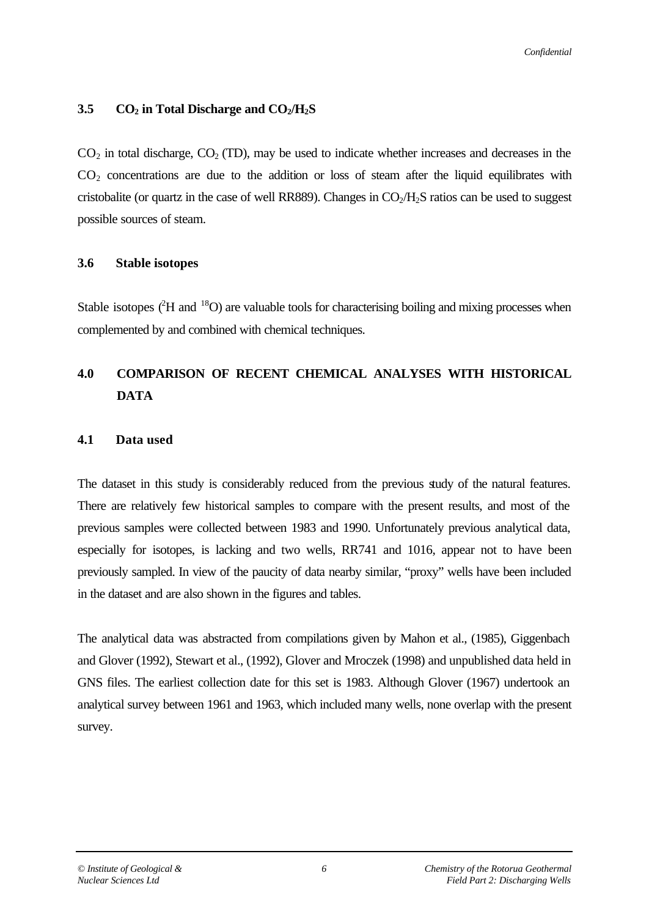### **3.5 CO2 in Total Discharge and CO2/H2S**

 $CO<sub>2</sub>$  in total discharge,  $CO<sub>2</sub>$  (TD), may be used to indicate whether increases and decreases in the  $CO<sub>2</sub>$  concentrations are due to the addition or loss of steam after the liquid equilibrates with cristobalite (or quartz in the case of well RR889). Changes in  $CO<sub>2</sub>/H<sub>2</sub>S$  ratios can be used to suggest possible sources of steam.

#### **3.6 Stable isotopes**

Stable isotopes  $^{2}$ H and  $^{18}$ O) are valuable tools for characterising boiling and mixing processes when complemented by and combined with chemical techniques.

# **4.0 COMPARISON OF RECENT CHEMICAL ANALYSES WITH HISTORICAL DATA**

### **4.1 Data used**

The dataset in this study is considerably reduced from the previous study of the natural features. There are relatively few historical samples to compare with the present results, and most of the previous samples were collected between 1983 and 1990. Unfortunately previous analytical data, especially for isotopes, is lacking and two wells, RR741 and 1016, appear not to have been previously sampled. In view of the paucity of data nearby similar, "proxy" wells have been included in the dataset and are also shown in the figures and tables.

The analytical data was abstracted from compilations given by Mahon et al., (1985), Giggenbach and Glover (1992), Stewart et al., (1992), Glover and Mroczek (1998) and unpublished data held in GNS files. The earliest collection date for this set is 1983. Although Glover (1967) undertook an analytical survey between 1961 and 1963, which included many wells, none overlap with the present survey.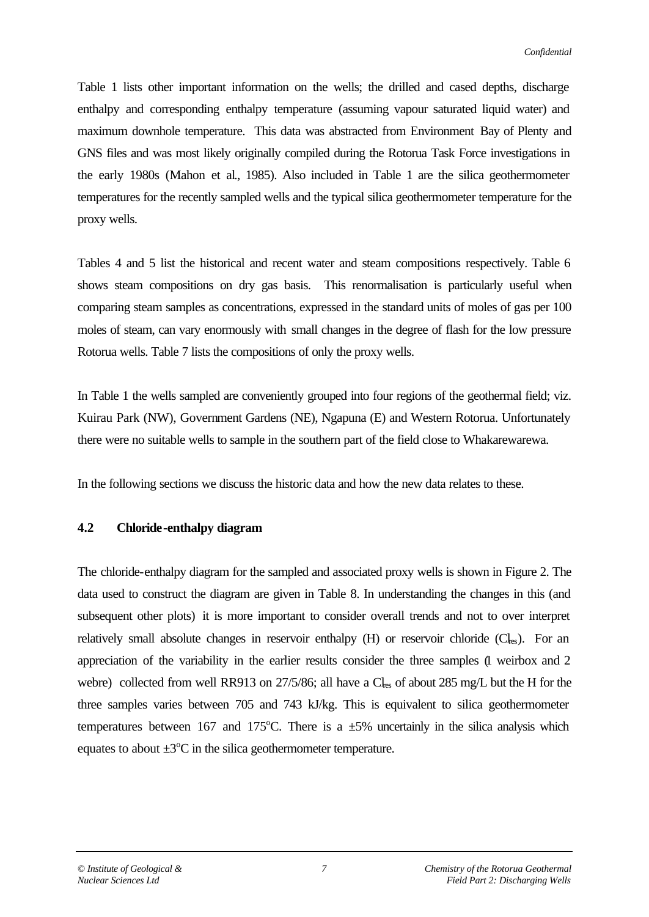Table 1 lists other important information on the wells; the drilled and cased depths, discharge enthalpy and corresponding enthalpy temperature (assuming vapour saturated liquid water) and maximum downhole temperature. This data was abstracted from Environment Bay of Plenty and GNS files and was most likely originally compiled during the Rotorua Task Force investigations in the early 1980s (Mahon et al., 1985). Also included in Table 1 are the silica geothermometer temperatures for the recently sampled wells and the typical silica geothermometer temperature for the proxy wells.

Tables 4 and 5 list the historical and recent water and steam compositions respectively. Table 6 shows steam compositions on dry gas basis. This renormalisation is particularly useful when comparing steam samples as concentrations, expressed in the standard units of moles of gas per 100 moles of steam, can vary enormously with small changes in the degree of flash for the low pressure Rotorua wells. Table 7 lists the compositions of only the proxy wells.

In Table 1 the wells sampled are conveniently grouped into four regions of the geothermal field; viz. Kuirau Park (NW), Government Gardens (NE), Ngapuna (E) and Western Rotorua. Unfortunately there were no suitable wells to sample in the southern part of the field close to Whakarewarewa.

In the following sections we discuss the historic data and how the new data relates to these.

### **4.2 Chloride-enthalpy diagram**

The chloride-enthalpy diagram for the sampled and associated proxy wells is shown in Figure 2. The data used to construct the diagram are given in Table 8. In understanding the changes in this (and subsequent other plots) it is more important to consider overall trends and not to over interpret relatively small absolute changes in reservoir enthalpy  $(H)$  or reservoir chloride  $(C<sub>les</sub>)$ . For an appreciation of the variability in the earlier results consider the three samples (1 weirbox and 2 webre) collected from well RR913 on  $27/5/86$ ; all have a  $Cl_{res}$  of about 285 mg/L but the H for the three samples varies between 705 and 743 kJ/kg. This is equivalent to silica geothermometer temperatures between 167 and 175°C. There is a  $\pm 5\%$  uncertainly in the silica analysis which equates to about  $\pm 3^{\circ}$ C in the silica geothermometer temperature.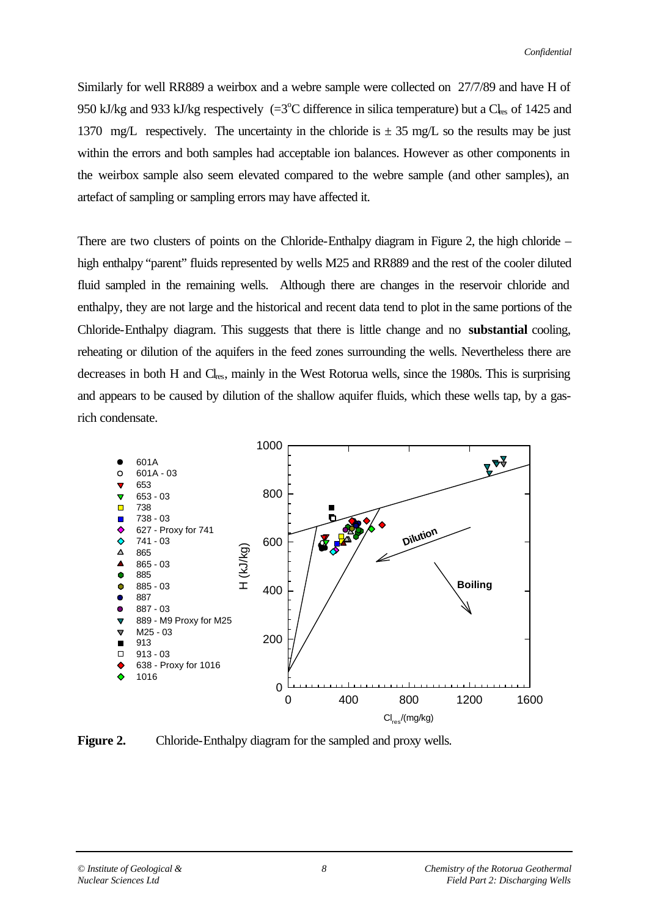Similarly for well RR889 a weirbox and a webre sample were collected on 27/7/89 and have H of 950 kJ/kg and 933 kJ/kg respectively  $(=3^{\circ}C)$  difference in silica temperature) but a  $C_{\text{les}}$  of 1425 and 1370 mg/L respectively. The uncertainty in the chloride is  $\pm$  35 mg/L so the results may be just within the errors and both samples had acceptable ion balances. However as other components in the weirbox sample also seem elevated compared to the webre sample (and other samples), an artefact of sampling or sampling errors may have affected it.

There are two clusters of points on the Chloride-Enthalpy diagram in Figure 2, the high chloride – high enthalpy "parent" fluids represented by wells M25 and RR889 and the rest of the cooler diluted fluid sampled in the remaining wells. Although there are changes in the reservoir chloride and enthalpy, they are not large and the historical and recent data tend to plot in the same portions of the Chloride-Enthalpy diagram. This suggests that there is little change and no **substantial** cooling, reheating or dilution of the aquifers in the feed zones surrounding the wells. Nevertheless there are decreases in both H and Cl<sub>res</sub>, mainly in the West Rotorua wells, since the 1980s. This is surprising and appears to be caused by dilution of the shallow aquifer fluids, which these wells tap, by a gasrich condensate.



**Figure 2.** Chloride-Enthalpy diagram for the sampled and proxy wells.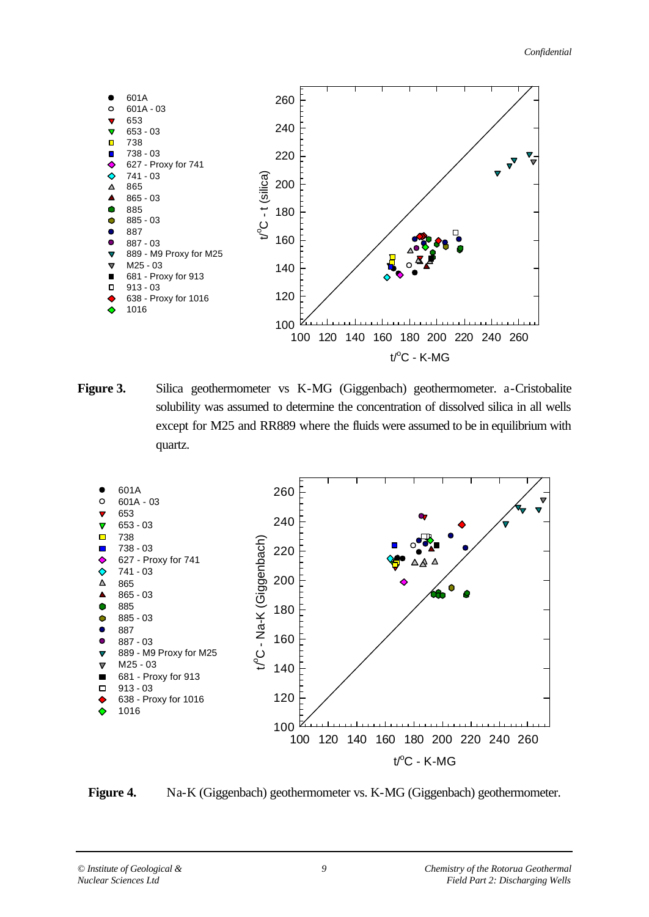

**Figure 3.** Silica geothermometer vs K-MG (Giggenbach) geothermometer. a-Cristobalite solubility was assumed to determine the concentration of dissolved silica in all wells except for M25 and RR889 where the fluids were assumed to be in equilibrium with quartz.



Figure 4. Na-K (Giggenbach) geothermometer vs. K-MG (Giggenbach) geothermometer.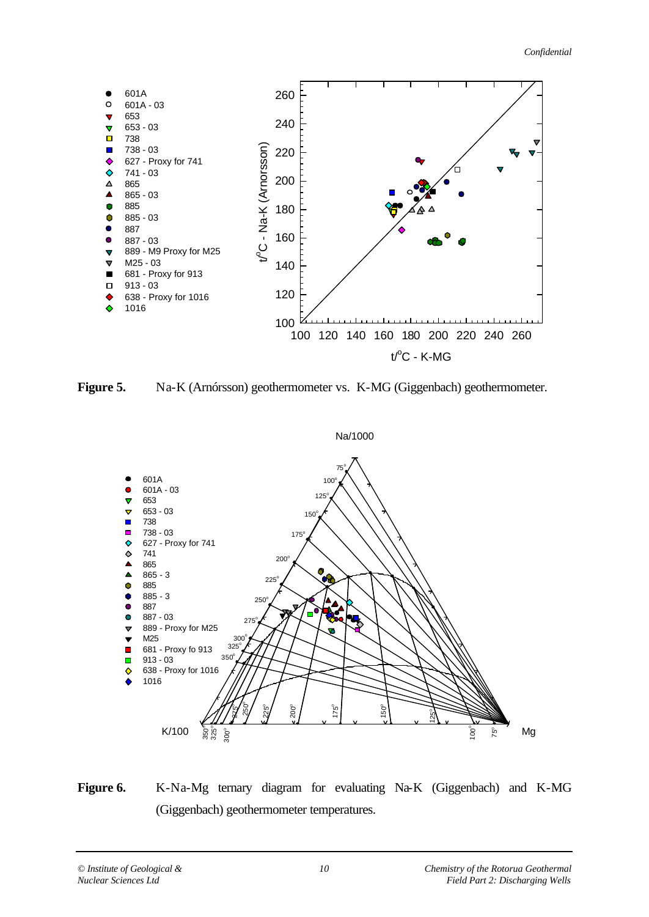



**Figure 5.** Na-K (Arnórsson) geothermometer vs. K-MG (Giggenbach) geothermometer.



**Figure 6.** K-Na-Mg ternary diagram for evaluating Na-K (Giggenbach) and K-MG (Giggenbach) geothermometer temperatures.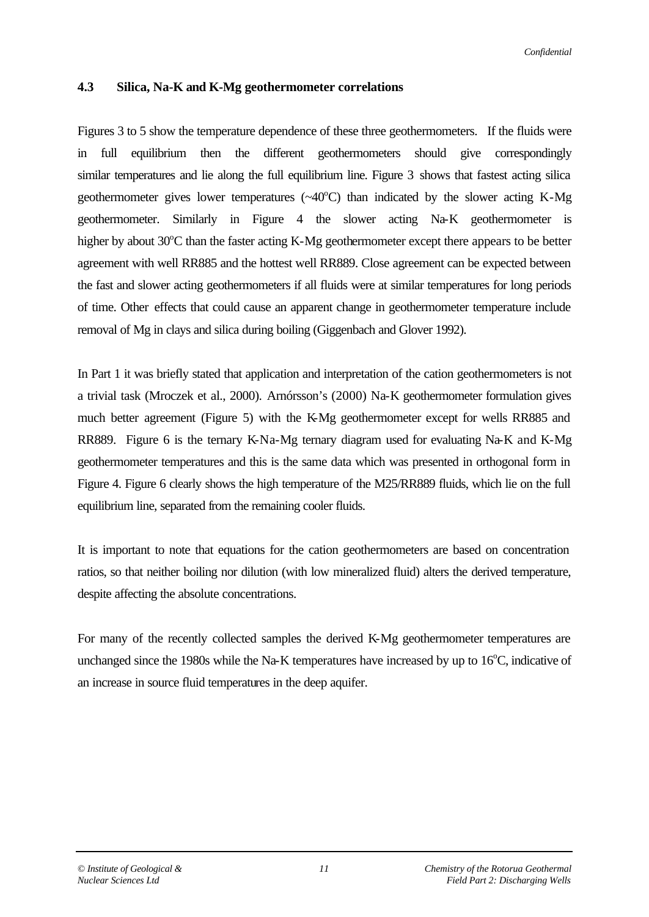### **4.3 Silica, Na-K and K-Mg geothermometer correlations**

Figures 3 to 5 show the temperature dependence of these three geothermometers. If the fluids were in full equilibrium then the different geothermometers should give correspondingly similar temperatures and lie along the full equilibrium line. Figure 3 shows that fastest acting silica geothermometer gives lower temperatures  $(\sim 40^{\circ}C)$  than indicated by the slower acting K-Mg geothermometer. Similarly in Figure 4 the slower acting Na-K geothermometer is higher by about  $30^{\circ}$ C than the faster acting K-Mg geothermometer except there appears to be better agreement with well RR885 and the hottest well RR889. Close agreement can be expected between the fast and slower acting geothermometers if all fluids were at similar temperatures for long periods of time. Other effects that could cause an apparent change in geothermometer temperature include removal of Mg in clays and silica during boiling (Giggenbach and Glover 1992).

In Part 1 it was briefly stated that application and interpretation of the cation geothermometers is not a trivial task (Mroczek et al., 2000). Arnórsson's (2000) Na-K geothermometer formulation gives much better agreement (Figure 5) with the K-Mg geothermometer except for wells RR885 and RR889. Figure 6 is the ternary K-Na-Mg ternary diagram used for evaluating Na-K and K-Mg geothermometer temperatures and this is the same data which was presented in orthogonal form in Figure 4. Figure 6 clearly shows the high temperature of the M25/RR889 fluids, which lie on the full equilibrium line, separated from the remaining cooler fluids.

It is important to note that equations for the cation geothermometers are based on concentration ratios, so that neither boiling nor dilution (with low mineralized fluid) alters the derived temperature, despite affecting the absolute concentrations.

For many of the recently collected samples the derived K-Mg geothermometer temperatures are unchanged since the 1980s while the Na-K temperatures have increased by up to  $16^{\circ}$ C, indicative of an increase in source fluid temperatures in the deep aquifer.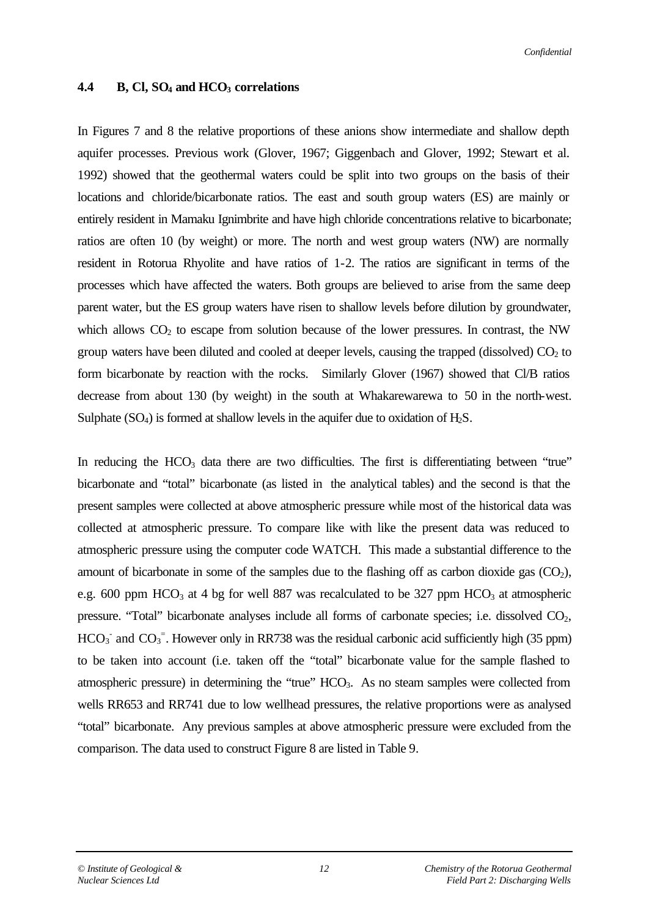#### *Confidential*

#### **4.4 B, Cl, SO4 and HCO3 correlations**

In Figures 7 and 8 the relative proportions of these anions show intermediate and shallow depth aquifer processes. Previous work (Glover, 1967; Giggenbach and Glover, 1992; Stewart et al. 1992) showed that the geothermal waters could be split into two groups on the basis of their locations and chloride/bicarbonate ratios. The east and south group waters (ES) are mainly or entirely resident in Mamaku Ignimbrite and have high chloride concentrations relative to bicarbonate; ratios are often 10 (by weight) or more. The north and west group waters (NW) are normally resident in Rotorua Rhyolite and have ratios of 1-2. The ratios are significant in terms of the processes which have affected the waters. Both groups are believed to arise from the same deep parent water, but the ES group waters have risen to shallow levels before dilution by groundwater, which allows  $CO<sub>2</sub>$  to escape from solution because of the lower pressures. In contrast, the NW group waters have been diluted and cooled at deeper levels, causing the trapped (dissolved)  $CO<sub>2</sub>$  to form bicarbonate by reaction with the rocks. Similarly Glover (1967) showed that Cl/B ratios decrease from about 130 (by weight) in the south at Whakarewarewa to 50 in the north-west. Sulphate  $(SO_4)$  is formed at shallow levels in the aquifer due to oxidation of  $H_2S$ .

In reducing the  $HCO<sub>3</sub>$  data there are two difficulties. The first is differentiating between "true" bicarbonate and "total" bicarbonate (as listed in the analytical tables) and the second is that the present samples were collected at above atmospheric pressure while most of the historical data was collected at atmospheric pressure. To compare like with like the present data was reduced to atmospheric pressure using the computer code WATCH. This made a substantial difference to the amount of bicarbonate in some of the samples due to the flashing off as carbon dioxide gas  $(CO_2)$ , e.g. 600 ppm HCO<sub>3</sub> at 4 bg for well 887 was recalculated to be 327 ppm HCO<sub>3</sub> at atmospheric pressure. "Total" bicarbonate analyses include all forms of carbonate species; i.e. dissolved  $CO<sub>2</sub>$ ,  $HCO<sub>3</sub>$  and  $CO<sub>3</sub>$ <sup>-</sup>. However only in RR738 was the residual carbonic acid sufficiently high (35 ppm) to be taken into account (i.e. taken off the "total" bicarbonate value for the sample flashed to atmospheric pressure) in determining the "true" HCO<sub>3</sub>. As no steam samples were collected from wells RR653 and RR741 due to low wellhead pressures, the relative proportions were as analysed "total" bicarbonate. Any previous samples at above atmospheric pressure were excluded from the comparison. The data used to construct Figure 8 are listed in Table 9.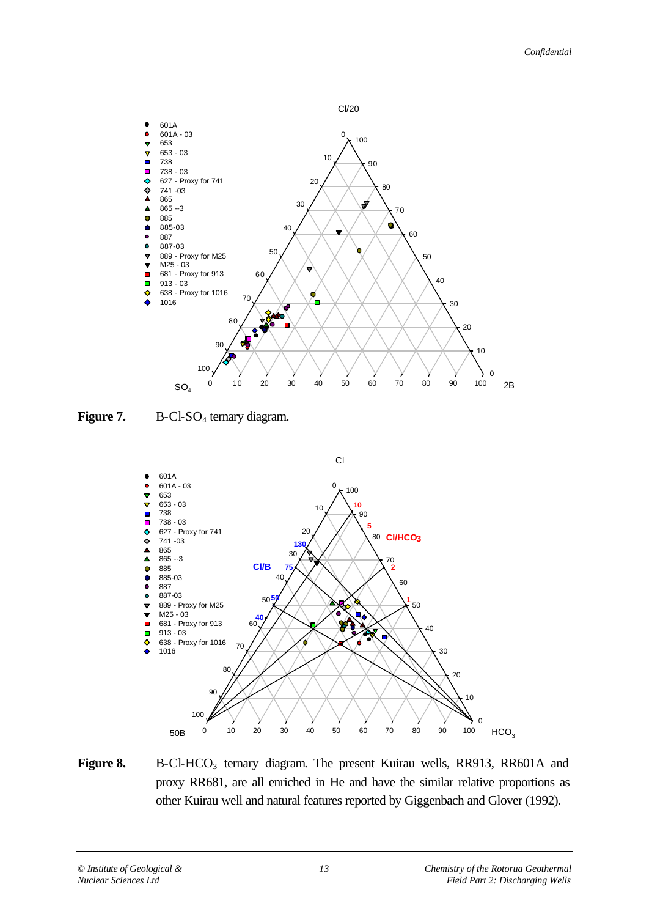

**Figure 7.** B-Cl-SO<sub>4</sub> ternary diagram.



Figure 8. B-Cl-HCO<sub>3</sub> ternary diagram. The present Kuirau wells, RR913, RR601A and proxy RR681, are all enriched in He and have the similar relative proportions as other Kuirau well and natural features reported by Giggenbach and Glover (1992).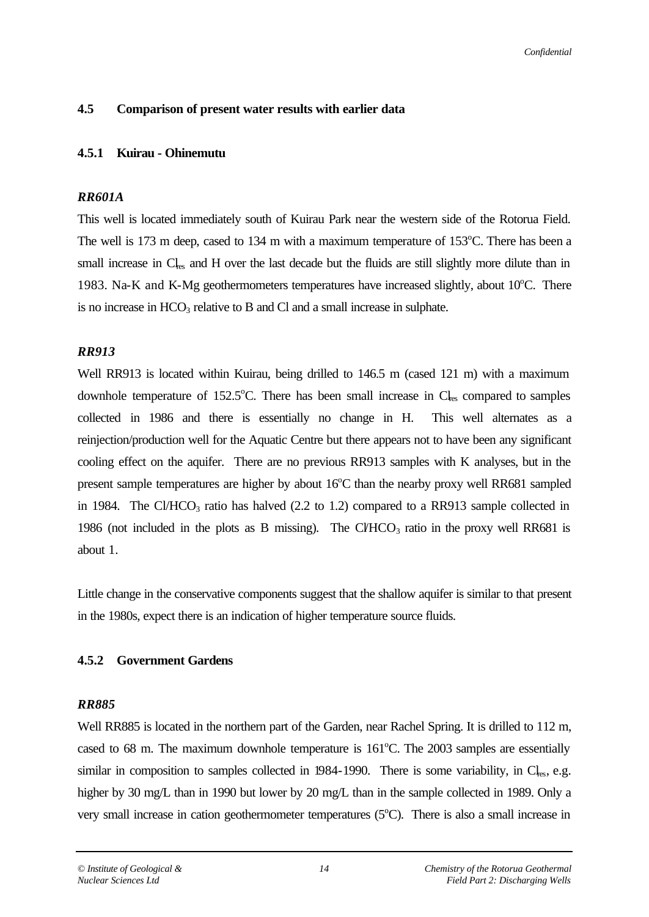### **4.5 Comparison of present water results with earlier data**

### **4.5.1 Kuirau - Ohinemutu**

### *RR601A*

This well is located immediately south of Kuirau Park near the western side of the Rotorua Field. The well is 173 m deep, cased to 134 m with a maximum temperature of  $153^{\circ}$ C. There has been a small increase in Cl<sub>rs</sub> and H over the last decade but the fluids are still slightly more dilute than in 1983. Na-K and K-Mg geothermometers temperatures have increased slightly, about  $10^{\circ}$ C. There is no increase in  $HCO<sub>3</sub>$  relative to B and Cl and a small increase in sulphate.

### *RR913*

Well RR913 is located within Kuirau, being drilled to 146.5 m (cased 121 m) with a maximum downhole temperature of  $152.5^{\circ}$ C. There has been small increase in  $Cl_{res}$  compared to samples collected in 1986 and there is essentially no change in H. This well alternates as a reinjection/production well for the Aquatic Centre but there appears not to have been any significant cooling effect on the aquifer. There are no previous RR913 samples with K analyses, but in the present sample temperatures are higher by about  $16^{\circ}$ C than the nearby proxy well RR681 sampled in 1984. The Cl/HCO<sub>3</sub> ratio has halved  $(2.2 \text{ to } 1.2)$  compared to a RR913 sample collected in 1986 (not included in the plots as B missing). The CVHCO<sub>3</sub> ratio in the proxy well RR681 is about 1.

Little change in the conservative components suggest that the shallow aquifer is similar to that present in the 1980s, expect there is an indication of higher temperature source fluids.

### **4.5.2 Government Gardens**

### *RR885*

Well RR885 is located in the northern part of the Garden, near Rachel Spring. It is drilled to 112 m, cased to 68 m. The maximum downhole temperature is  $161^{\circ}$ C. The 2003 samples are essentially similar in composition to samples collected in 1984-1990. There is some variability, in  $C_{\text{les}}$ , e.g. higher by 30 mg/L than in 1990 but lower by 20 mg/L than in the sample collected in 1989. Only a very small increase in cation geothermometer temperatures  $(5^{\circ}C)$ . There is also a small increase in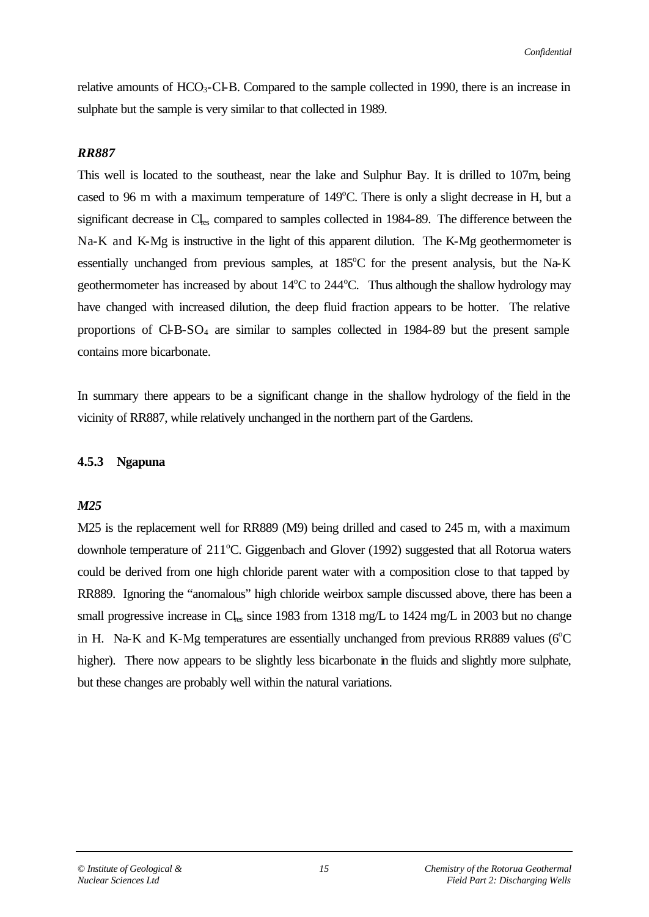relative amounts of  $HCO<sub>3</sub>-Cl-B$ . Compared to the sample collected in 1990, there is an increase in sulphate but the sample is very similar to that collected in 1989.

#### *RR887*

This well is located to the southeast, near the lake and Sulphur Bay. It is drilled to 107m, being cased to 96 m with a maximum temperature of  $149^{\circ}$ C. There is only a slight decrease in H, but a significant decrease in Cl<sub>res</sub> compared to samples collected in 1984-89. The difference between the Na-K and K-Mg is instructive in the light of this apparent dilution. The K-Mg geothermometer is essentially unchanged from previous samples, at  $185^{\circ}$ C for the present analysis, but the Na-K geothermometer has increased by about  $14^{\circ}$ C to  $244^{\circ}$ C. Thus although the shallow hydrology may have changed with increased dilution, the deep fluid fraction appears to be hotter. The relative proportions of Cl-B-SO4 are similar to samples collected in 1984-89 but the present sample contains more bicarbonate.

In summary there appears to be a significant change in the shallow hydrology of the field in the vicinity of RR887, while relatively unchanged in the northern part of the Gardens.

#### **4.5.3 Ngapuna**

#### *M25*

M25 is the replacement well for RR889 (M9) being drilled and cased to 245 m, with a maximum downhole temperature of  $211^{\circ}$ C. Giggenbach and Glover (1992) suggested that all Rotorua waters could be derived from one high chloride parent water with a composition close to that tapped by RR889. Ignoring the "anomalous" high chloride weirbox sample discussed above, there has been a small progressive increase in  $C_{\text{les}}$  since 1983 from 1318 mg/L to 1424 mg/L in 2003 but no change in H. Na-K and K-Mg temperatures are essentially unchanged from previous RR889 values ( $6^{\circ}$ C) higher). There now appears to be slightly less bicarbonate in the fluids and slightly more sulphate, but these changes are probably well within the natural variations.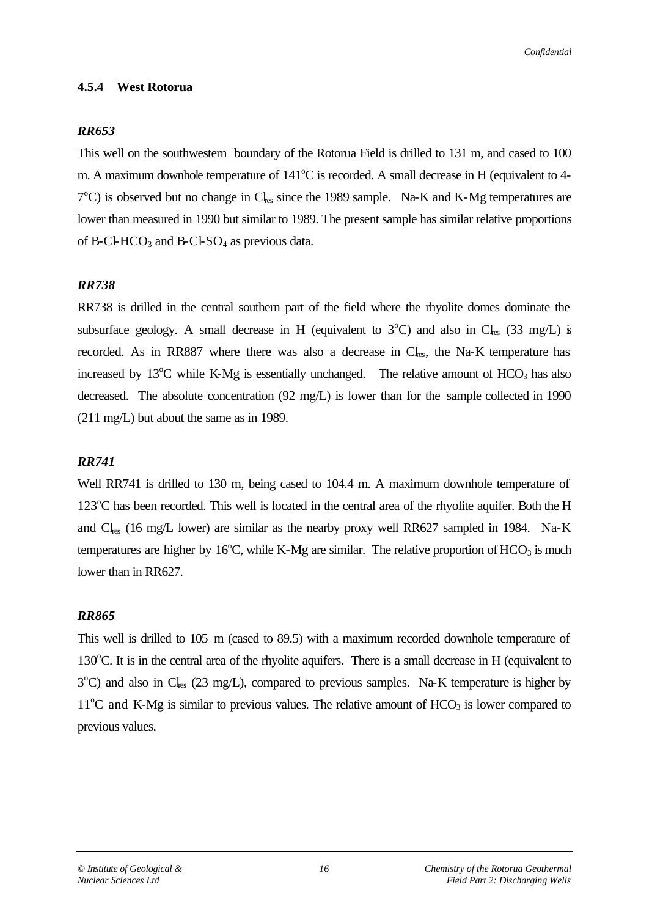#### **4.5.4 West Rotorua**

#### *RR653*

This well on the southwestern boundary of the Rotorua Field is drilled to 131 m, and cased to 100 m. A maximum downhole temperature of  $141^{\circ}$ C is recorded. A small decrease in H (equivalent to 4- $7^{\circ}$ C) is observed but no change in Cl<sub>res</sub> since the 1989 sample. Na-K and K-Mg temperatures are lower than measured in 1990 but similar to 1989. The present sample has similar relative proportions of B-Cl-HCO<sub>3</sub> and B-Cl-SO<sub>4</sub> as previous data.

#### *RR738*

RR738 is drilled in the central southern part of the field where the rhyolite domes dominate the subsurface geology. A small decrease in H (equivalent to  $3^{\circ}$ C) and also in Cl<sub>res</sub> (33 mg/L) is recorded. As in RR887 where there was also a decrease in  $Cl_{res}$ , the Na-K temperature has increased by  $13^{\circ}$ C while K-Mg is essentially unchanged. The relative amount of HCO<sub>3</sub> has also decreased. The absolute concentration (92 mg/L) is lower than for the sample collected in 1990 (211 mg/L) but about the same as in 1989.

#### *RR741*

Well RR741 is drilled to 130 m, being cased to 104.4 m. A maximum downhole temperature of  $123^{\circ}$ C has been recorded. This well is located in the central area of the rhyolite aquifer. Both the H and  $Cl_{res}$  (16 mg/L lower) are similar as the nearby proxy well RR627 sampled in 1984. Na-K temperatures are higher by  $16^{\circ}$ C, while K-Mg are similar. The relative proportion of HCO<sub>3</sub> is much lower than in RR627.

#### *RR865*

This well is drilled to 105 m (cased to 89.5) with a maximum recorded downhole temperature of  $130^{\circ}$ C. It is in the central area of the rhyolite aquifers. There is a small decrease in H (equivalent to 3<sup>o</sup>C) and also in Cl<sub>res</sub> (23 mg/L), compared to previous samples. Na-K temperature is higher by  $11^{\circ}$ C and K-Mg is similar to previous values. The relative amount of HCO<sub>3</sub> is lower compared to previous values.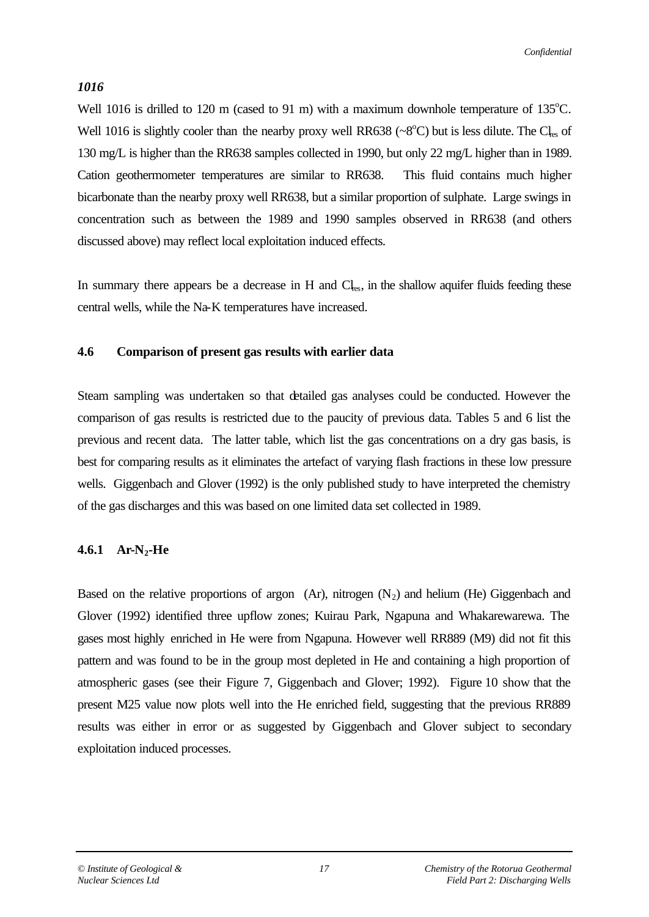### *1016*

Well 1016 is drilled to 120 m (cased to 91 m) with a maximum downhole temperature of  $135^{\circ}$ C. Well 1016 is slightly cooler than the nearby proxy well RR638 ( $\sim 8^{\circ}$ C) but is less dilute. The Cl<sub>res</sub> of 130 mg/L is higher than the RR638 samples collected in 1990, but only 22 mg/L higher than in 1989. Cation geothermometer temperatures are similar to RR638. This fluid contains much higher bicarbonate than the nearby proxy well RR638, but a similar proportion of sulphate. Large swings in concentration such as between the 1989 and 1990 samples observed in RR638 (and others discussed above) may reflect local exploitation induced effects.

In summary there appears be a decrease in H and  $Cl<sub>res</sub>$ , in the shallow aquifer fluids feeding these central wells, while the Na-K temperatures have increased.

#### **4.6 Comparison of present gas results with earlier data**

Steam sampling was undertaken so that detailed gas analyses could be conducted. However the comparison of gas results is restricted due to the paucity of previous data. Tables 5 and 6 list the previous and recent data. The latter table, which list the gas concentrations on a dry gas basis, is best for comparing results as it eliminates the artefact of varying flash fractions in these low pressure wells. Giggenbach and Glover (1992) is the only published study to have interpreted the chemistry of the gas discharges and this was based on one limited data set collected in 1989.

### **4.6.1 Ar-N2-He**

Based on the relative proportions of argon (Ar), nitrogen  $(N_2)$  and helium (He) Giggenbach and Glover (1992) identified three upflow zones; Kuirau Park, Ngapuna and Whakarewarewa. The gases most highly enriched in He were from Ngapuna. However well RR889 (M9) did not fit this pattern and was found to be in the group most depleted in He and containing a high proportion of atmospheric gases (see their Figure 7, Giggenbach and Glover; 1992). Figure 10 show that the present M25 value now plots well into the He enriched field, suggesting that the previous RR889 results was either in error or as suggested by Giggenbach and Glover subject to secondary exploitation induced processes.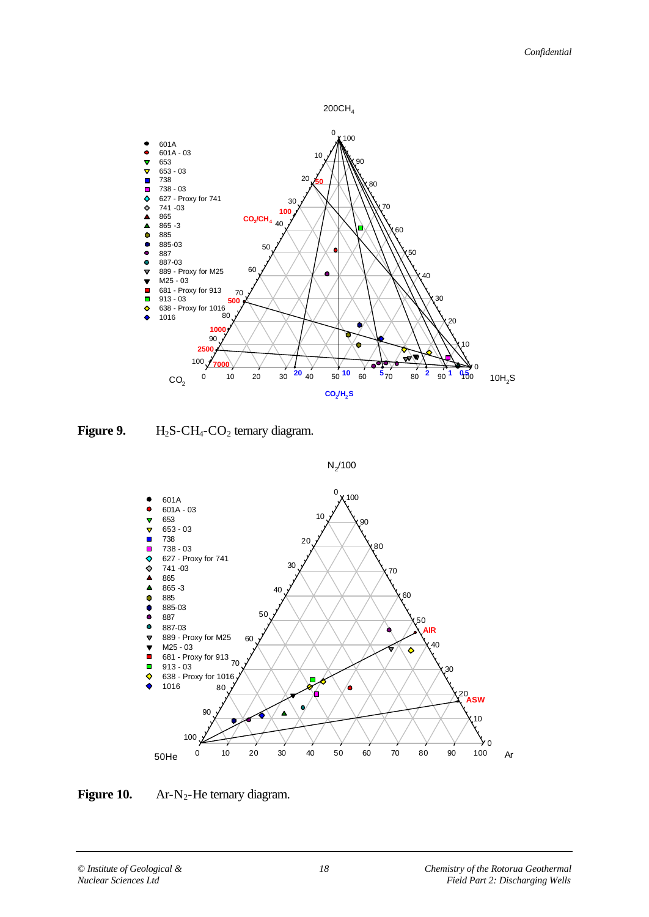

**Figure 9.** H<sub>2</sub>S-CH<sub>4</sub>-CO<sub>2</sub> ternary diagram.





*© Institute of Geological & 18 Chemistry of the Rotorua Geothermal Nuclear Sciences Ltd Field Part 2: Discharging Wells*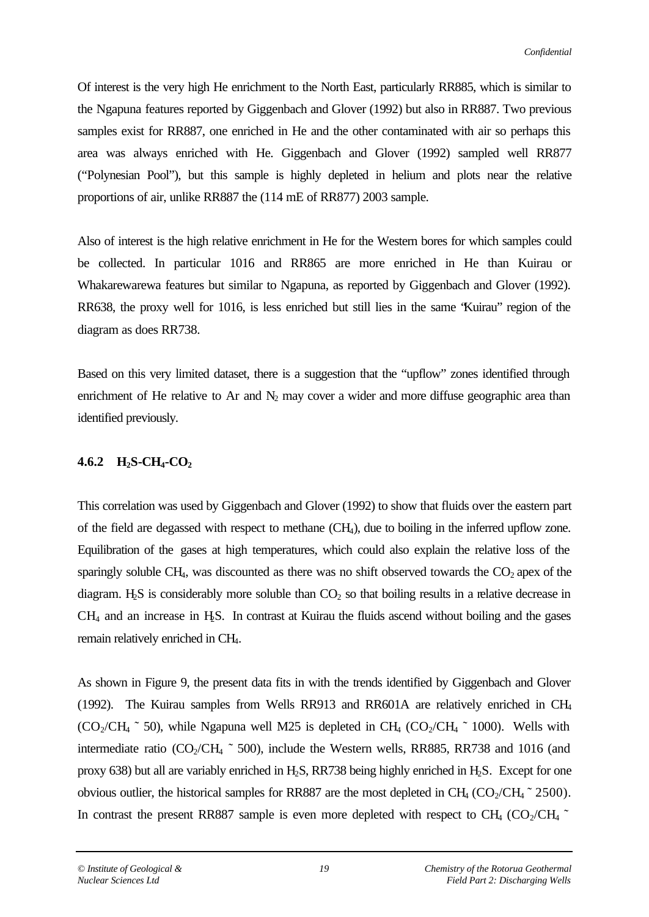Of interest is the very high He enrichment to the North East, particularly RR885, which is similar to the Ngapuna features reported by Giggenbach and Glover (1992) but also in RR887. Two previous samples exist for RR887, one enriched in He and the other contaminated with air so perhaps this area was always enriched with He. Giggenbach and Glover (1992) sampled well RR877 ("Polynesian Pool"), but this sample is highly depleted in helium and plots near the relative proportions of air, unlike RR887 the (114 mE of RR877) 2003 sample.

Also of interest is the high relative enrichment in He for the Western bores for which samples could be collected. In particular 1016 and RR865 are more enriched in He than Kuirau or Whakarewarewa features but similar to Ngapuna, as reported by Giggenbach and Glover (1992). RR638, the proxy well for 1016, is less enriched but still lies in the same "Kuirau" region of the diagram as does RR738.

Based on this very limited dataset, there is a suggestion that the "upflow" zones identified through enrichment of He relative to Ar and  $N_2$  may cover a wider and more diffuse geographic area than identified previously.

### **4.6.2 H2S-CH4-CO<sup>2</sup>**

This correlation was used by Giggenbach and Glover (1992) to show that fluids over the eastern part of the field are degassed with respect to methane (CH4), due to boiling in the inferred upflow zone. Equilibration of the gases at high temperatures, which could also explain the relative loss of the sparingly soluble CH<sub>4</sub>, was discounted as there was no shift observed towards the  $CO<sub>2</sub>$  apex of the diagram. H<sub>2</sub>S is considerably more soluble than  $CO<sub>2</sub>$  so that boiling results in a relative decrease in  $CH<sub>4</sub>$  and an increase in H<sub>2</sub>S. In contrast at Kuirau the fluids ascend without boiling and the gases remain relatively enriched in CH4.

As shown in Figure 9, the present data fits in with the trends identified by Giggenbach and Glover (1992). The Kuirau samples from Wells RR913 and RR601A are relatively enriched in CH<sup>4</sup>  $(CO_2/CH_4 \text{ }^{\sim} 50)$ , while Ngapuna well M25 is depleted in CH<sub>4</sub>  $(CO_2/CH_4 \text{ }^{\sim} 1000)$ . Wells with intermediate ratio ( $CO_2/CH_4 \text{ }^{\sim}$  500), include the Western wells, RR885, RR738 and 1016 (and proxy 638) but all are variably enriched in  $H_2S$ , RR738 being highly enriched in  $H_2S$ . Except for one obvious outlier, the historical samples for RR887 are the most depleted in  $CH_4 (CO_2/CH_4 \degree 2500)$ . In contrast the present RR887 sample is even more depleted with respect to CH<sub>4</sub> (CO<sub>2</sub>/CH<sub>4</sub>  $\sim$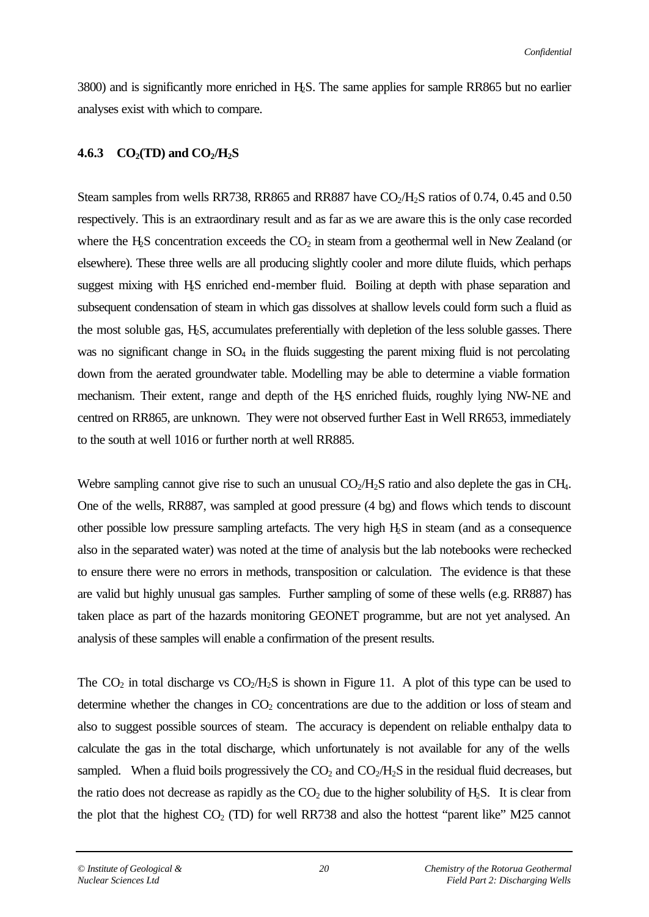3800) and is significantly more enriched in H2S. The same applies for sample RR865 but no earlier analyses exist with which to compare.

### **4.6.3 CO2(TD) and CO2/H2S**

Steam samples from wells RR738, RR865 and RR887 have  $CO<sub>2</sub>/H<sub>2</sub>$ S ratios of 0.74, 0.45 and 0.50 respectively. This is an extraordinary result and as far as we are aware this is the only case recorded where the H<sub>2</sub>S concentration exceeds the  $CO<sub>2</sub>$  in steam from a geothermal well in New Zealand (or elsewhere). These three wells are all producing slightly cooler and more dilute fluids, which perhaps suggest mixing with H<sub>2</sub>S enriched end-member fluid. Boiling at depth with phase separation and subsequent condensation of steam in which gas dissolves at shallow levels could form such a fluid as the most soluble gas, H2S, accumulates preferentially with depletion of the less soluble gasses. There was no significant change in  $SO_4$  in the fluids suggesting the parent mixing fluid is not percolating down from the aerated groundwater table. Modelling may be able to determine a viable formation mechanism. Their extent, range and depth of the H2S enriched fluids, roughly lying NW-NE and centred on RR865, are unknown. They were not observed further East in Well RR653, immediately to the south at well 1016 or further north at well RR885.

Webre sampling cannot give rise to such an unusual  $CO<sub>2</sub>/H<sub>2</sub>S$  ratio and also deplete the gas in CH<sub>4</sub>. One of the wells, RR887, was sampled at good pressure (4 bg) and flows which tends to discount other possible low pressure sampling artefacts. The very high H2S in steam (and as a consequence also in the separated water) was noted at the time of analysis but the lab notebooks were rechecked to ensure there were no errors in methods, transposition or calculation. The evidence is that these are valid but highly unusual gas samples. Further sampling of some of these wells (e.g. RR887) has taken place as part of the hazards monitoring GEONET programme, but are not yet analysed. An analysis of these samples will enable a confirmation of the present results.

The  $CO_2$  in total discharge vs  $CO_2/H_2S$  is shown in Figure 11. A plot of this type can be used to determine whether the changes in  $CO<sub>2</sub>$  concentrations are due to the addition or loss of steam and also to suggest possible sources of steam. The accuracy is dependent on reliable enthalpy data to calculate the gas in the total discharge, which unfortunately is not available for any of the wells sampled. When a fluid boils progressively the  $CO<sub>2</sub>$  and  $CO<sub>2</sub>/H<sub>2</sub>S$  in the residual fluid decreases, but the ratio does not decrease as rapidly as the  $CO<sub>2</sub>$  due to the higher solubility of  $H<sub>2</sub>S$ . It is clear from the plot that the highest  $CO<sub>2</sub>$  (TD) for well RR738 and also the hottest "parent like" M25 cannot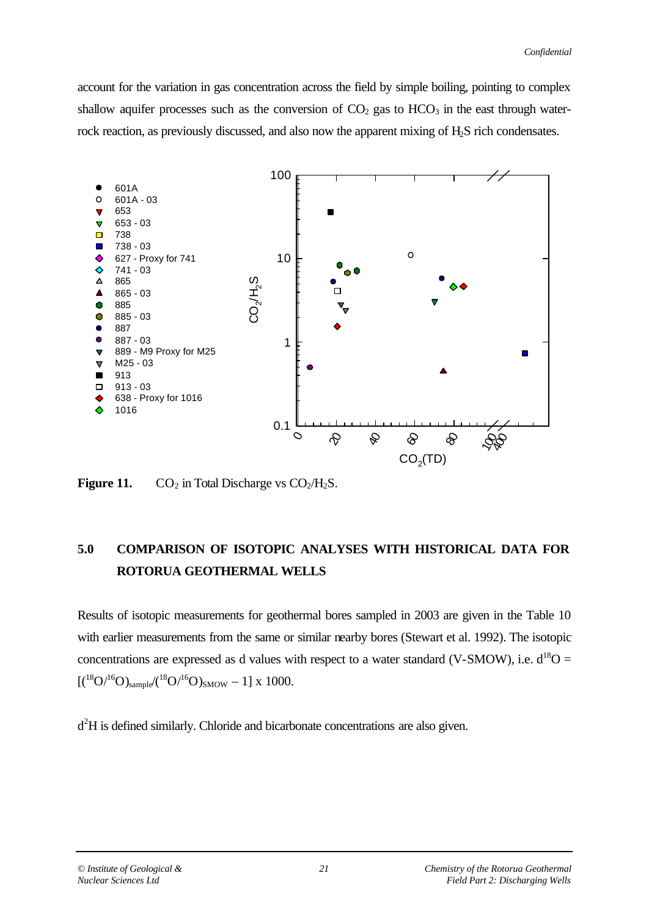account for the variation in gas concentration across the field by simple boiling, pointing to complex shallow aquifer processes such as the conversion of  $CO<sub>2</sub>$  gas to  $HCO<sub>3</sub>$  in the east through waterrock reaction, as previously discussed, and also now the apparent mixing of  $H_2S$  rich condensates.



**Figure 11.**  $CO_2$  in Total Discharge vs  $CO_2/H_2S$ .

# **5.0 COMPARISON OF ISOTOPIC ANALYSES WITH HISTORICAL DATA FOR ROTORUA GEOTHERMAL WELLS**

Results of isotopic measurements for geothermal bores sampled in 2003 are given in the Table 10 with earlier measurements from the same or similar nearby bores (Stewart et al. 1992). The isotopic concentrations are expressed as d values with respect to a water standard (V-SMOW), i.e.  $d^{18}O =$  $[(18O/16O)_{sample}/(18O/16O)_{SMOW} - 1]$  x 1000.

d<sup>2</sup>H is defined similarly. Chloride and bicarbonate concentrations are also given.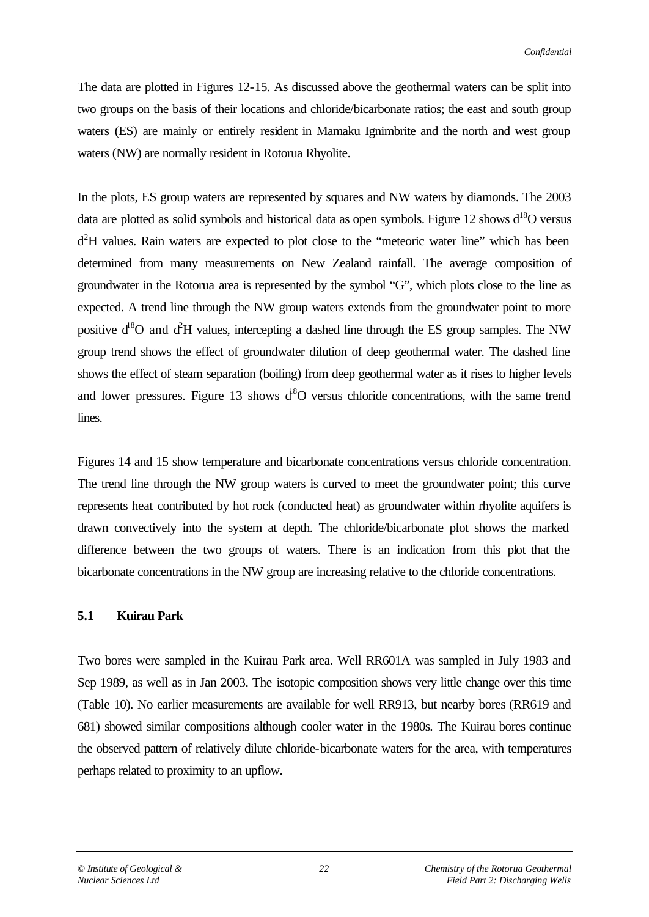The data are plotted in Figures 12-15. As discussed above the geothermal waters can be split into two groups on the basis of their locations and chloride/bicarbonate ratios; the east and south group waters (ES) are mainly or entirely resident in Mamaku Ignimbrite and the north and west group waters (NW) are normally resident in Rotorua Rhyolite.

In the plots, ES group waters are represented by squares and NW waters by diamonds. The 2003 data are plotted as solid symbols and historical data as open symbols. Figure 12 shows  $d^{18}O$  versus  $d<sup>2</sup>H$  values. Rain waters are expected to plot close to the "meteoric water line" which has been determined from many measurements on New Zealand rainfall. The average composition of groundwater in the Rotorua area is represented by the symbol "G", which plots close to the line as expected. A trend line through the NW group waters extends from the groundwater point to more positive  $d^8O$  and  $d^2H$  values, intercepting a dashed line through the ES group samples. The NW group trend shows the effect of groundwater dilution of deep geothermal water. The dashed line shows the effect of steam separation (boiling) from deep geothermal water as it rises to higher levels and lower pressures. Figure 13 shows  $d^8O$  versus chloride concentrations, with the same trend lines.

Figures 14 and 15 show temperature and bicarbonate concentrations versus chloride concentration. The trend line through the NW group waters is curved to meet the groundwater point; this curve represents heat contributed by hot rock (conducted heat) as groundwater within rhyolite aquifers is drawn convectively into the system at depth. The chloride/bicarbonate plot shows the marked difference between the two groups of waters. There is an indication from this plot that the bicarbonate concentrations in the NW group are increasing relative to the chloride concentrations.

#### **5.1 Kuirau Park**

Two bores were sampled in the Kuirau Park area. Well RR601A was sampled in July 1983 and Sep 1989, as well as in Jan 2003. The isotopic composition shows very little change over this time (Table 10). No earlier measurements are available for well RR913, but nearby bores (RR619 and 681) showed similar compositions although cooler water in the 1980s. The Kuirau bores continue the observed pattern of relatively dilute chloride-bicarbonate waters for the area, with temperatures perhaps related to proximity to an upflow.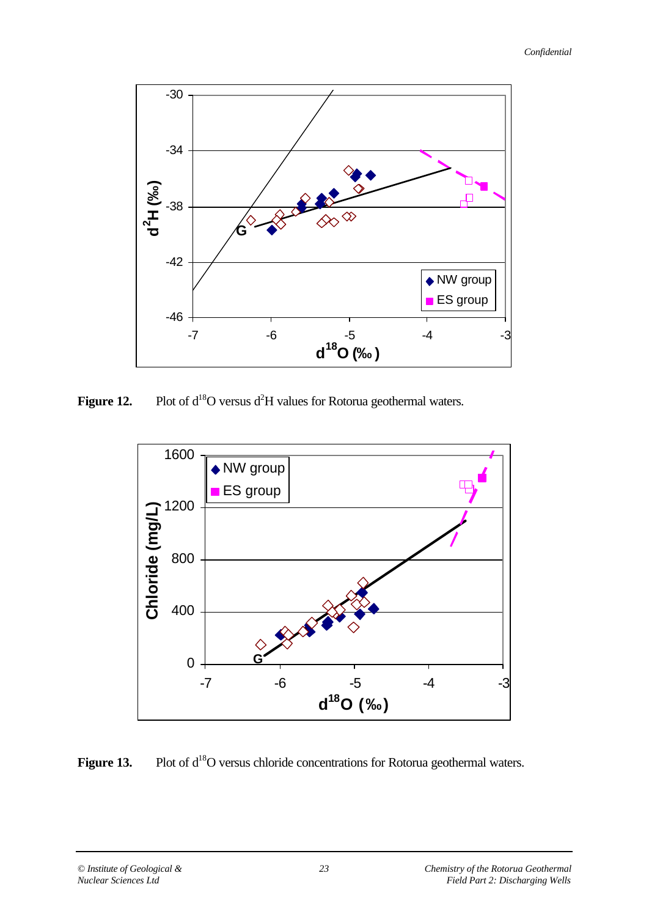

**Figure 12.** Plot of d<sup>18</sup>O versus d<sup>2</sup>H values for Rotorua geothermal waters.



Figure 13. Plot of d<sup>18</sup>O versus chloride concentrations for Rotorua geothermal waters.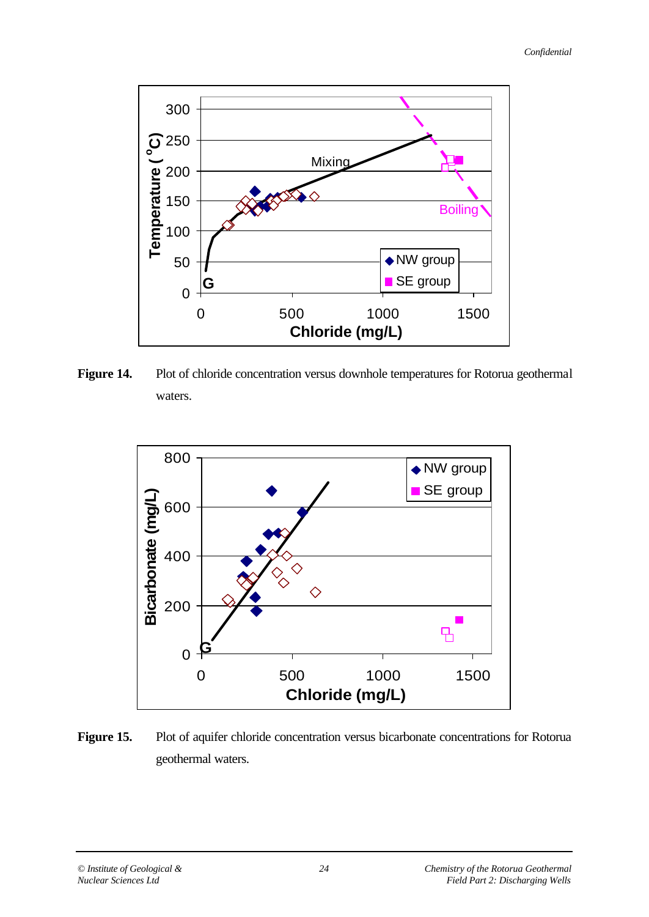

**Figure 14.** Plot of chloride concentration versus downhole temperatures for Rotorua geothermal waters.



**Figure 15.** Plot of aquifer chloride concentration versus bicarbonate concentrations for Rotorua geothermal waters.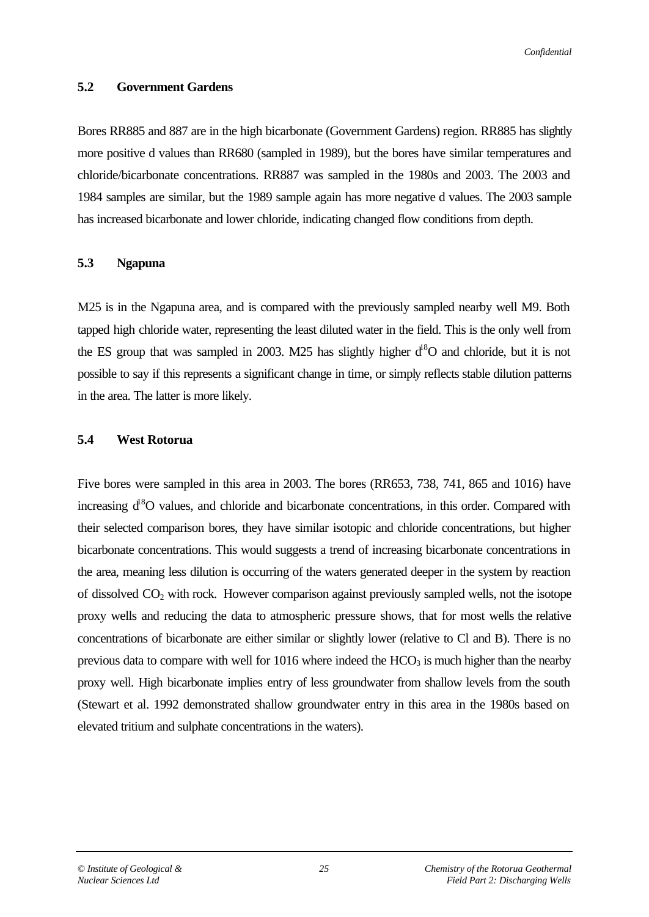#### **5.2 Government Gardens**

Bores RR885 and 887 are in the high bicarbonate (Government Gardens) region. RR885 has slightly more positive d values than RR680 (sampled in 1989), but the bores have similar temperatures and chloride/bicarbonate concentrations. RR887 was sampled in the 1980s and 2003. The 2003 and 1984 samples are similar, but the 1989 sample again has more negative d values. The 2003 sample has increased bicarbonate and lower chloride, indicating changed flow conditions from depth.

#### **5.3 Ngapuna**

M25 is in the Ngapuna area, and is compared with the previously sampled nearby well M9. Both tapped high chloride water, representing the least diluted water in the field. This is the only well from the ES group that was sampled in 2003. M25 has slightly higher  $d^8O$  and chloride, but it is not possible to say if this represents a significant change in time, or simply reflects stable dilution patterns in the area. The latter is more likely.

#### **5.4 West Rotorua**

Five bores were sampled in this area in 2003. The bores (RR653, 738, 741, 865 and 1016) have increasing  $d^8O$  values, and chloride and bicarbonate concentrations, in this order. Compared with their selected comparison bores, they have similar isotopic and chloride concentrations, but higher bicarbonate concentrations. This would suggests a trend of increasing bicarbonate concentrations in the area, meaning less dilution is occurring of the waters generated deeper in the system by reaction of dissolved  $CO<sub>2</sub>$  with rock. However comparison against previously sampled wells, not the isotope proxy wells and reducing the data to atmospheric pressure shows, that for most wells the relative concentrations of bicarbonate are either similar or slightly lower (relative to Cl and B). There is no previous data to compare with well for 1016 where indeed the  $HCO<sub>3</sub>$  is much higher than the nearby proxy well. High bicarbonate implies entry of less groundwater from shallow levels from the south (Stewart et al. 1992 demonstrated shallow groundwater entry in this area in the 1980s based on elevated tritium and sulphate concentrations in the waters).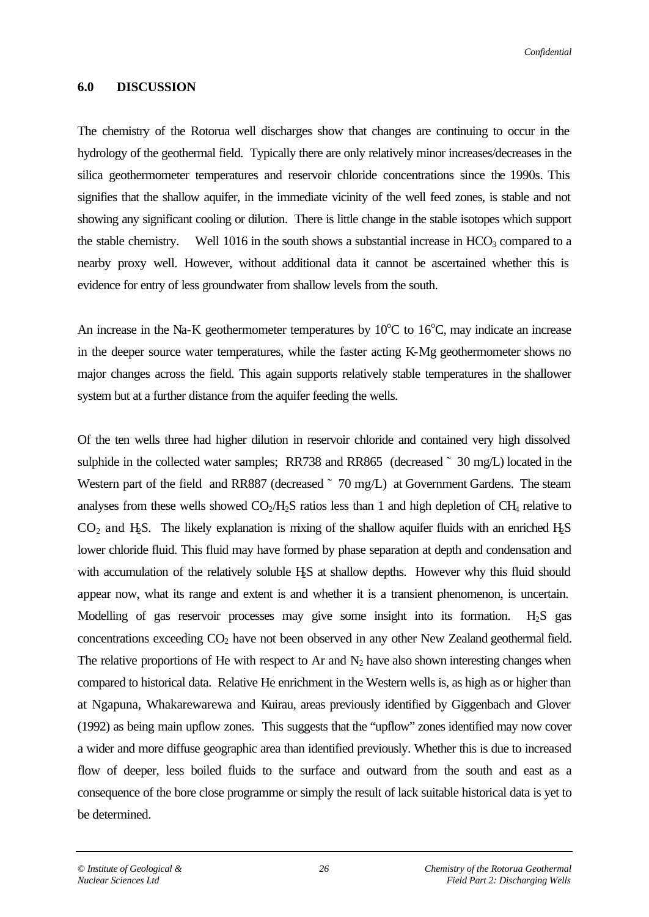#### **6.0 DISCUSSION**

The chemistry of the Rotorua well discharges show that changes are continuing to occur in the hydrology of the geothermal field. Typically there are only relatively minor increases/decreases in the silica geothermometer temperatures and reservoir chloride concentrations since the 1990s. This signifies that the shallow aquifer, in the immediate vicinity of the well feed zones, is stable and not showing any significant cooling or dilution. There is little change in the stable isotopes which support the stable chemistry. Well 1016 in the south shows a substantial increase in  $HCO<sub>3</sub>$  compared to a nearby proxy well. However, without additional data it cannot be ascertained whether this is evidence for entry of less groundwater from shallow levels from the south.

An increase in the Na-K geothermometer temperatures by  $10^{\circ}$ C to  $16^{\circ}$ C, may indicate an increase in the deeper source water temperatures, while the faster acting K-Mg geothermometer shows no major changes across the field. This again supports relatively stable temperatures in the shallower system but at a further distance from the aquifer feeding the wells.

Of the ten wells three had higher dilution in reservoir chloride and contained very high dissolved sulphide in the collected water samples; RR738 and RR865 (decreased  $\degree$  30 mg/L) located in the Western part of the field and RR887 (decreased  $\degree$  70 mg/L) at Government Gardens. The steam analyses from these wells showed  $CO<sub>2</sub>/H<sub>2</sub>S$  ratios less than 1 and high depletion of CH<sub>4</sub> relative to  $CO<sub>2</sub>$  and H<sub>2</sub>S. The likely explanation is mixing of the shallow aquifer fluids with an enriched H<sub>2</sub>S lower chloride fluid. This fluid may have formed by phase separation at depth and condensation and with accumulation of the relatively soluble H<sub>2</sub>S at shallow depths. However why this fluid should appear now, what its range and extent is and whether it is a transient phenomenon, is uncertain. Modelling of gas reservoir processes may give some insight into its formation.  $H_2S$  gas concentrations exceeding  $CO<sub>2</sub>$  have not been observed in any other New Zealand geothermal field. The relative proportions of He with respect to Ar and  $N_2$  have also shown interesting changes when compared to historical data. Relative He enrichment in the Western wells is, as high as or higher than at Ngapuna, Whakarewarewa and Kuirau, areas previously identified by Giggenbach and Glover (1992) as being main upflow zones. This suggests that the "upflow" zones identified may now cover a wider and more diffuse geographic area than identified previously. Whether this is due to increased flow of deeper, less boiled fluids to the surface and outward from the south and east as a consequence of the bore close programme or simply the result of lack suitable historical data is yet to be determined.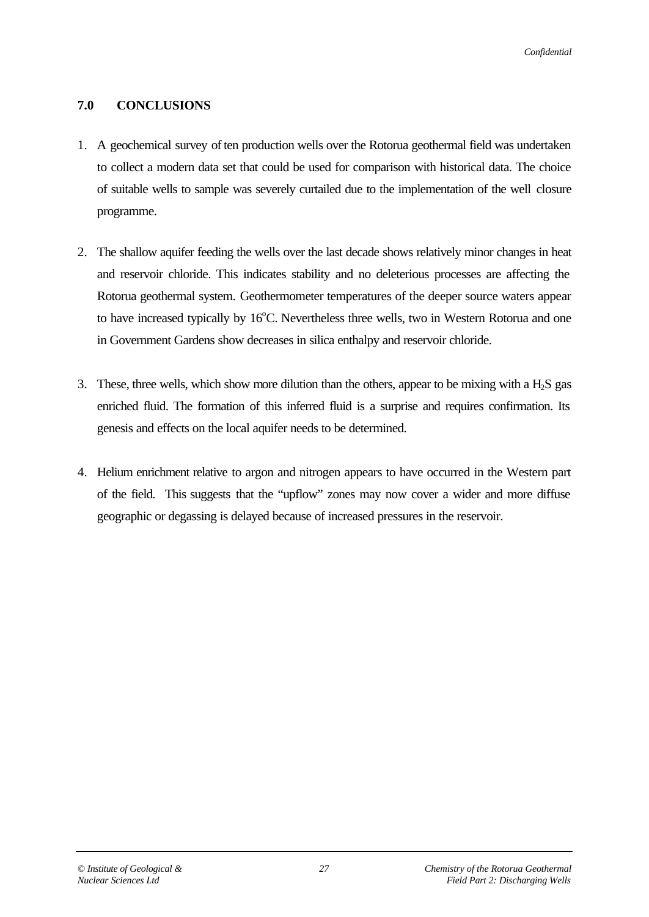### **7.0 CONCLUSIONS**

- 1. A geochemical survey of ten production wells over the Rotorua geothermal field was undertaken to collect a modern data set that could be used for comparison with historical data. The choice of suitable wells to sample was severely curtailed due to the implementation of the well closure programme.
- 2. The shallow aquifer feeding the wells over the last decade shows relatively minor changes in heat and reservoir chloride. This indicates stability and no deleterious processes are affecting the Rotorua geothermal system. Geothermometer temperatures of the deeper source waters appear to have increased typically by  $16^{\circ}$ C. Nevertheless three wells, two in Western Rotorua and one in Government Gardens show decreases in silica enthalpy and reservoir chloride.
- 3. These, three wells, which show more dilution than the others, appear to be mixing with a  $H_2S$  gas enriched fluid. The formation of this inferred fluid is a surprise and requires confirmation. Its genesis and effects on the local aquifer needs to be determined.
- 4. Helium enrichment relative to argon and nitrogen appears to have occurred in the Western part of the field. This suggests that the "upflow" zones may now cover a wider and more diffuse geographic or degassing is delayed because of increased pressures in the reservoir.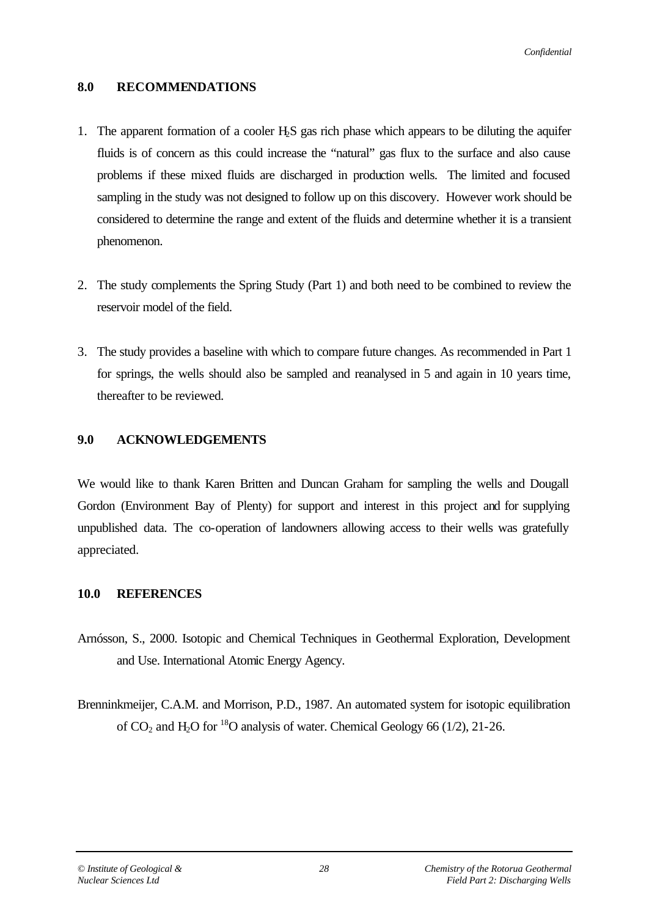### **8.0 RECOMMENDATIONS**

- 1. The apparent formation of a cooler H2S gas rich phase which appears to be diluting the aquifer fluids is of concern as this could increase the "natural" gas flux to the surface and also cause problems if these mixed fluids are discharged in production wells. The limited and focused sampling in the study was not designed to follow up on this discovery. However work should be considered to determine the range and extent of the fluids and determine whether it is a transient phenomenon.
- 2. The study complements the Spring Study (Part 1) and both need to be combined to review the reservoir model of the field.
- 3. The study provides a baseline with which to compare future changes. As recommended in Part 1 for springs, the wells should also be sampled and reanalysed in 5 and again in 10 years time, thereafter to be reviewed.

### **9.0 ACKNOWLEDGEMENTS**

We would like to thank Karen Britten and Duncan Graham for sampling the wells and Dougall Gordon (Environment Bay of Plenty) for support and interest in this project and for supplying unpublished data. The co-operation of landowners allowing access to their wells was gratefully appreciated.

### **10.0 REFERENCES**

- Arnósson, S., 2000. Isotopic and Chemical Techniques in Geothermal Exploration, Development and Use. International Atomic Energy Agency.
- Brenninkmeijer, C.A.M. and Morrison, P.D., 1987. An automated system for isotopic equilibration of  $CO_2$  and H<sub>2</sub>O for <sup>18</sup>O analysis of water. Chemical Geology 66 (1/2), 21-26.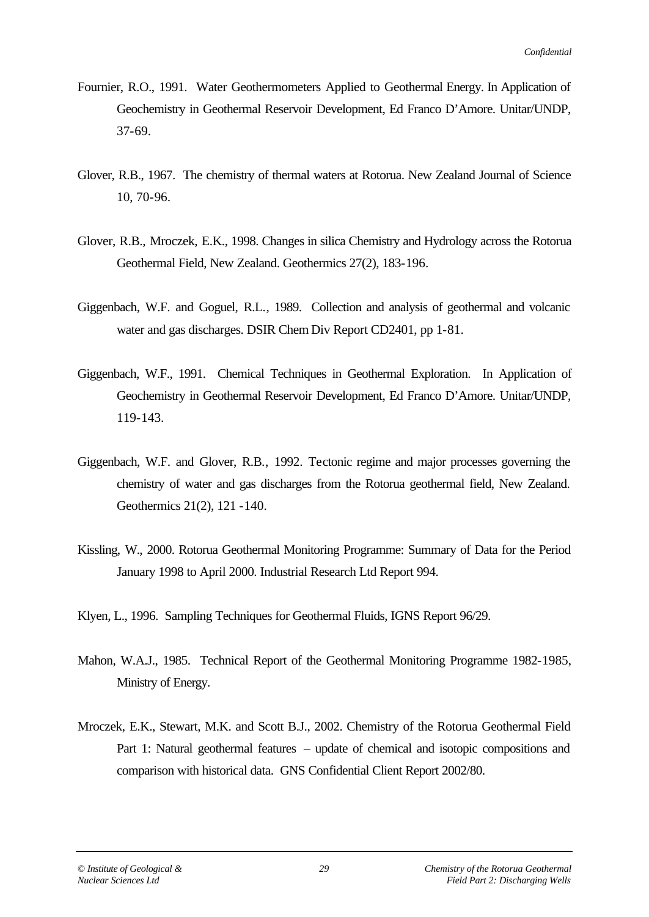- Fournier, R.O., 1991. Water Geothermometers Applied to Geothermal Energy. In Application of Geochemistry in Geothermal Reservoir Development, Ed Franco D'Amore. Unitar/UNDP, 37-69.
- Glover, R.B., 1967. The chemistry of thermal waters at Rotorua. New Zealand Journal of Science 10, 70-96.
- Glover, R.B., Mroczek, E.K., 1998. Changes in silica Chemistry and Hydrology across the Rotorua Geothermal Field, New Zealand. Geothermics 27(2), 183-196.
- Giggenbach, W.F. and Goguel, R.L., 1989. Collection and analysis of geothermal and volcanic water and gas discharges. DSIR Chem Div Report CD2401, pp 1-81.
- Giggenbach, W.F., 1991. Chemical Techniques in Geothermal Exploration. In Application of Geochemistry in Geothermal Reservoir Development, Ed Franco D'Amore. Unitar/UNDP, 119-143.
- Giggenbach, W.F. and Glover, R.B., 1992. Tectonic regime and major processes governing the chemistry of water and gas discharges from the Rotorua geothermal field, New Zealand. Geothermics 21(2), 121 -140.
- Kissling, W., 2000. Rotorua Geothermal Monitoring Programme: Summary of Data for the Period January 1998 to April 2000. Industrial Research Ltd Report 994.
- Klyen, L., 1996. Sampling Techniques for Geothermal Fluids, IGNS Report 96/29.
- Mahon, W.A.J., 1985. Technical Report of the Geothermal Monitoring Programme 1982-1985, Ministry of Energy.
- Mroczek, E.K., Stewart, M.K. and Scott B.J., 2002. Chemistry of the Rotorua Geothermal Field Part 1: Natural geothermal features – update of chemical and isotopic compositions and comparison with historical data. GNS Confidential Client Report 2002/80.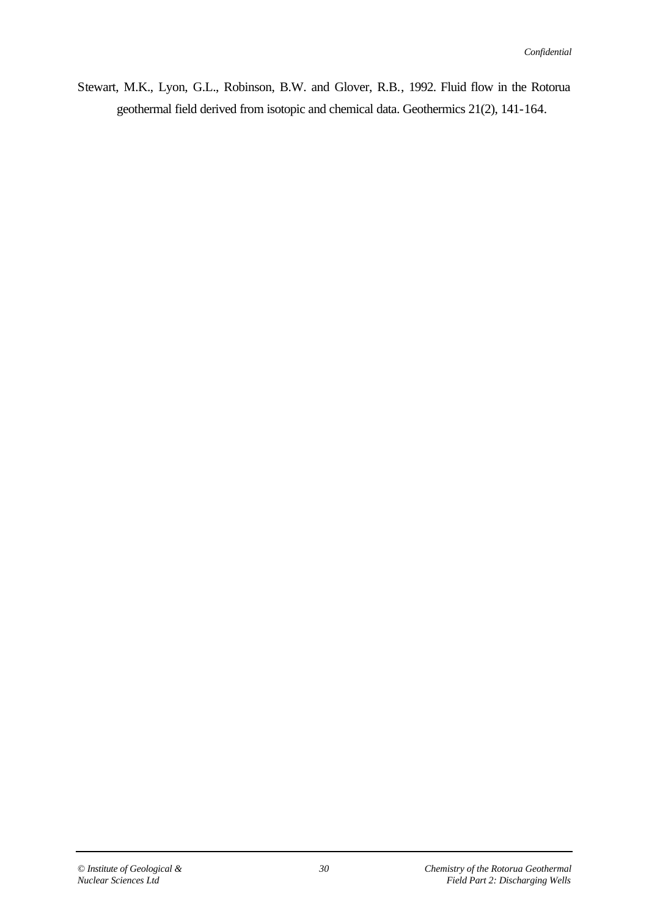Stewart, M.K., Lyon, G.L., Robinson, B.W. and Glover, R.B., 1992. Fluid flow in the Rotorua geothermal field derived from isotopic and chemical data. Geothermics 21(2), 141-164.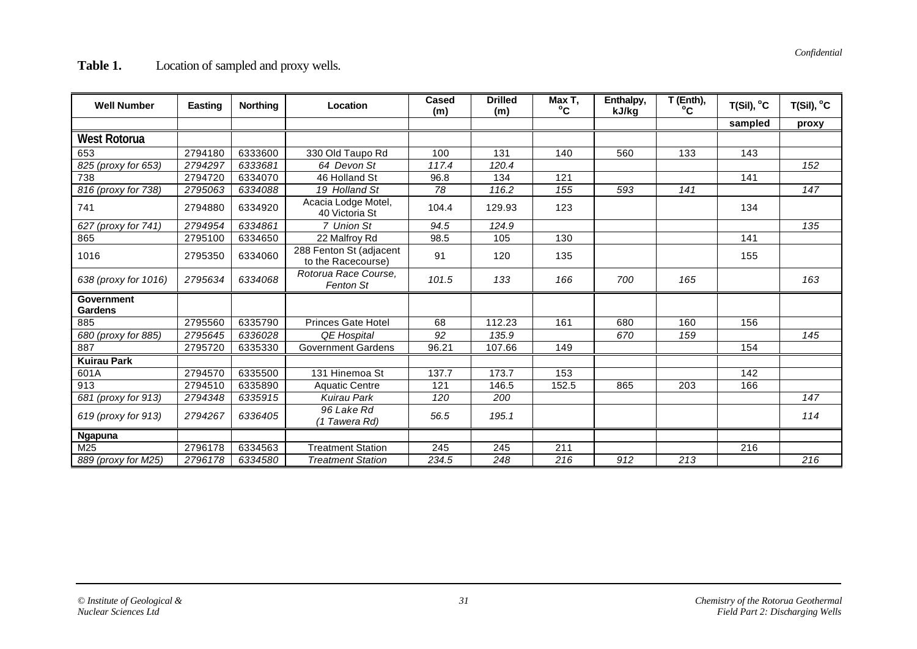| <b>Well Number</b>                  | Easting | <b>Northing</b> | Location                                      | Cased<br>(m)     | <b>Drilled</b><br>(m) | Max T,<br>$^{\circ}$ C | Enthalpy,<br>kJ/kg | T (Enth),<br>°C | $T(Sil)$ , $^{\circ}C$ | $T(Sil)$ , $^{\circ}C$ |
|-------------------------------------|---------|-----------------|-----------------------------------------------|------------------|-----------------------|------------------------|--------------------|-----------------|------------------------|------------------------|
|                                     |         |                 |                                               |                  |                       |                        |                    |                 | sampled                | proxy                  |
| West Rotorua                        |         |                 |                                               |                  |                       |                        |                    |                 |                        |                        |
| 653                                 | 2794180 | 6333600         | 330 Old Taupo Rd                              | 100              | 131                   | 140                    | 560                | 133             | 143                    |                        |
| 825 (proxy for 653)                 | 2794297 | 6333681         | 64 Devon St                                   | 117.4            | 120.4                 |                        |                    |                 |                        | 152                    |
| 738                                 | 2794720 | 6334070         | 46 Holland St                                 | 96.8             | 134                   | 121                    |                    |                 | 141                    |                        |
| 816 (proxy for 738)                 | 2795063 | 6334088         | 19 Holland St                                 | 78               | 116.2                 | 155                    | 593                | 141             |                        | 147                    |
| 741                                 | 2794880 | 6334920         | Acacia Lodge Motel,<br>40 Victoria St         | 104.4            | 129.93                | 123                    |                    |                 | 134                    |                        |
| 627 (proxy for 741)                 | 2794954 | 6334861         | 7 Union St                                    | 94.5             | 124.9                 |                        |                    |                 |                        | 135                    |
| 865                                 | 2795100 | 6334650         | 22 Malfroy Rd                                 | 98.5             | 105                   | 130                    |                    |                 | 141                    |                        |
| 1016                                | 2795350 | 6334060         | 288 Fenton St (adjacent<br>to the Racecourse) | 91               | 120                   | 135                    |                    |                 | 155                    |                        |
| 638 (proxy for 1016)                | 2795634 | 6334068         | Rotorua Race Course,<br><b>Fenton St</b>      | 101.5            | 133                   | 166                    | 700                | 165             |                        | 163                    |
| <b>Government</b><br><b>Gardens</b> |         |                 |                                               |                  |                       |                        |                    |                 |                        |                        |
| 885                                 | 2795560 | 6335790         | Princes Gate Hotel                            | 68               | 112.23                | 161                    | 680                | 160             | 156                    |                        |
| 680 (proxy for 885)                 | 2795645 | 6336028         | <b>QE Hospital</b>                            | 92               | 135.9                 |                        | 670                | 159             |                        | 145                    |
| 887                                 | 2795720 | 6335330         | <b>Government Gardens</b>                     | 96.21            | 107.66                | 149                    |                    |                 | 154                    |                        |
| <b>Kuirau Park</b>                  |         |                 |                                               |                  |                       |                        |                    |                 |                        |                        |
| 601A                                | 2794570 | 6335500         | 131 Hinemoa St                                | 137.7            | 173.7                 | 153                    |                    |                 | 142                    |                        |
| 913                                 | 2794510 | 6335890         | <b>Aquatic Centre</b>                         | 121              | 146.5                 | 152.5                  | 865                | 203             | 166                    |                        |
| 681 (proxy for 913)                 | 2794348 | 6335915         | <b>Kuirau Park</b>                            | 120              | 200                   |                        |                    |                 |                        | 147                    |
| 619 (proxy for 913)                 | 2794267 | 6336405         | 96 Lake Rd<br>(1 Tawera Rd)                   | 56.5             | 195.1                 |                        |                    |                 |                        | 114                    |
| <b>Ngapuna</b>                      |         |                 |                                               |                  |                       |                        |                    |                 |                        |                        |
| M25                                 | 2796178 | 6334563         | <b>Treatment Station</b>                      | $\overline{245}$ | 245                   | $\overline{211}$       |                    |                 | 216                    |                        |
| 889 (proxy for M25)                 | 2796178 | 6334580         | <b>Treatment Station</b>                      | 234.5            | 248                   | 216                    | 912                | 213             |                        | 216                    |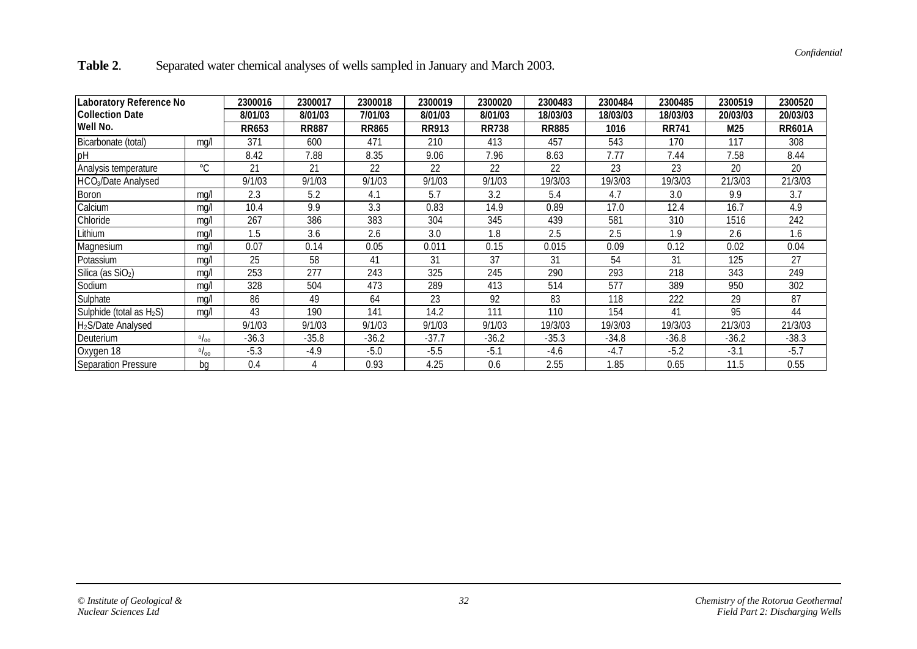| Table 2. | Separated water chemical analyses of wells sampled in January and March 2003. |  |
|----------|-------------------------------------------------------------------------------|--|
|          |                                                                               |  |

| Laboratory Reference No              |             | 2300016      | 2300017      | 2300018 | 2300019      | 2300020      | 2300483  | 2300484      | 2300485  | 2300519       | 2300520  |
|--------------------------------------|-------------|--------------|--------------|---------|--------------|--------------|----------|--------------|----------|---------------|----------|
| <b>Collection Date</b>               |             | 8/01/03      | 8/01/03      | 7/01/03 | 8/01/03      | 8/01/03      | 18/03/03 | 18/03/03     | 18/03/03 | 20/03/03      | 20/03/03 |
| Well No.                             | RR653       | <b>RR887</b> | <b>RR865</b> | RR913   | <b>RR738</b> | <b>RR885</b> | 1016     | <b>RR741</b> | M25      | <b>RR601A</b> |          |
| Bicarbonate (total)                  | mg/l        | 371          | 600          | 471     | 210          | 413          | 457      | 543          | 170      | 117           | 308      |
| pH                                   |             | 8.42         | 7.88         | 8.35    | 9.06         | 7.96         | 8.63     | 7.77         | 7.44     | 7.58          | 8.44     |
| Analysis temperature                 | $^{\circ}C$ | 21           | 21           | 22      | 22           | 22           | 22       | 23           | 23       | 20            | 20       |
| HCO <sub>3</sub> /Date Analysed      |             | 9/1/03       | 9/1/03       | 9/1/03  | 9/1/03       | 9/1/03       | 19/3/03  | 19/3/03      | 19/3/03  | 21/3/03       | 21/3/03  |
| Boron                                | mg/l        | 2.3          | 5.2          | 4.1     | 5.7          | 3.2          | 5.4      | 4.7          | 3.0      | 9.9           | 3.7      |
| Calcium                              | ma/         | 10.4         | 9.9          | 3.3     | 0.83         | 14.9         | 0.89     | 17.0         | 12.4     | 16.7          | 4.9      |
| Chloride                             | mg/         | 267          | 386          | 383     | 304          | 345          | 439      | 581          | 310      | 1516          | 242      |
| Lithium                              | mg/         | 1.5          | 3.6          | 2.6     | 3.0          | 1.8          | 2.5      | 2.5          | 1.9      | 2.6           | 1.6      |
| Magnesium                            | ma/         | 0.07         | 0.14         | 0.05    | 0.011        | 0.15         | 0.015    | 0.09         | 0.12     | 0.02          | 0.04     |
| Potassium                            | mg/         | 25           | 58           | 41      | 31           | 37           | 31       | 54           | 31       | 125           | 27       |
| Silica (as SiO <sub>2</sub> )        | ma/         | 253          | 277          | 243     | 325          | 245          | 290      | 293          | 218      | 343           | 249      |
| Sodium                               | mg/         | 328          | 504          | 473     | 289          | 413          | 514      | 577          | 389      | 950           | 302      |
| Sulphate                             | ma/l        | 86           | 49           | 64      | 23           | 92           | 83       | 118          | 222      | 29            | 87       |
| Sulphide (total as H <sub>2</sub> S) | mg/l        | 43           | 190          | 141     | 14.2         | 111          | 110      | 154          | 41       | 95            | 44       |
| H <sub>2</sub> S/Date Analysed       |             | 9/1/03       | 9/1/03       | 9/1/03  | 9/1/03       | 9/1/03       | 19/3/03  | 19/3/03      | 19/3/03  | 21/3/03       | 21/3/03  |
| Deuterium                            | 0/00        | $-36.3$      | $-35.8$      | $-36.2$ | $-37.7$      | $-36.2$      | $-35.3$  | $-34.8$      | $-36.8$  | $-36.2$       | $-38.3$  |
| Oxygen 18                            | 0/00        | $-5.3$       | $-4.9$       | $-5.0$  | $-5.5$       | $-5.1$       | $-4.6$   | $-4.7$       | $-5.2$   | $-3.1$        | $-5.7$   |
| Separation Pressure                  | bq          | 0.4          |              | 0.93    | 4.25         | 0.6          | 2.55     | 1.85         | 0.65     | 11.5          | 0.55     |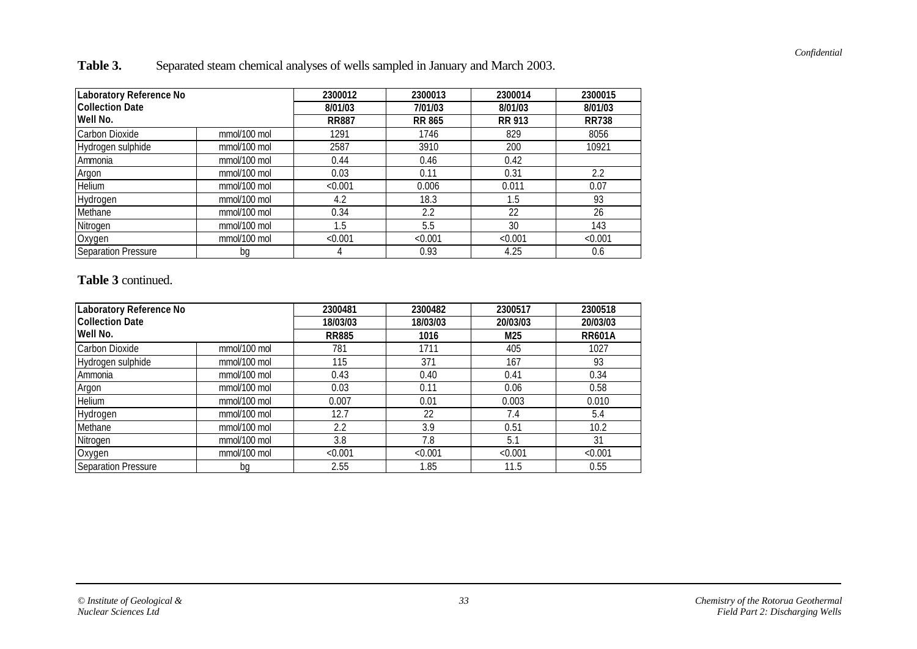**Table 3.** Separated steam chemical analyses of wells sampled in January and March 2003.

| <b>Laboratory Reference No</b> |              | 2300012      | 2300013       | 2300014       | 2300015      |
|--------------------------------|--------------|--------------|---------------|---------------|--------------|
| <b>Collection Date</b>         |              | 8/01/03      | 7/01/03       | 8/01/03       | 8/01/03      |
| Well No.                       |              | <b>RR887</b> | <b>RR 865</b> | <b>RR 913</b> | <b>RR738</b> |
| Carbon Dioxide                 | mmol/100 mol | 1291         | 1746          | 829           | 8056         |
| Hydrogen sulphide              | mmol/100 mol | 2587         | 3910          | 200           | 10921        |
| Ammonia                        | mmol/100 mol | 0.44         | 0.46          | 0.42          |              |
| Argon                          | mmol/100 mol | 0.03         | 0.11          | 0.31          | 2.2          |
| Helium                         | mmol/100 mol | < 0.001      | 0.006         | 0.011         | 0.07         |
| Hydrogen                       | mmol/100 mol | 4.2          | 18.3          | 1.5           | 93           |
| Methane                        | mmol/100 mol | 0.34         | 2.2           | 22            | 26           |
| Nitrogen                       | mmol/100 mol | 1.5          | 5.5           | 30            | 143          |
| Oxygen                         | mmol/100 mol | < 0.001      | < 0.001       | < 0.001       | < 0.001      |
| <b>Separation Pressure</b>     | bg           |              | 0.93          | 4.25          | 0.6          |

#### **Table 3** continued.

| Laboratory Reference No    |              | 2300481      | 2300482  | 2300517  | 2300518       |
|----------------------------|--------------|--------------|----------|----------|---------------|
| <b>Collection Date</b>     |              | 18/03/03     | 18/03/03 | 20/03/03 | 20/03/03      |
| Well No.                   |              | <b>RR885</b> | 1016     | M25      | <b>RR601A</b> |
| Carbon Dioxide             | mmol/100 mol | 781          | 1711     | 405      | 1027          |
| Hydrogen sulphide          | mmol/100 mol | 115          | 371      | 167      | 93            |
| Ammonia                    | mmol/100 mol | 0.43         | 0.40     | 0.41     | 0.34          |
| Argon                      | mmol/100 mol | 0.03         | 0.11     | 0.06     | 0.58          |
| Helium                     | mmol/100 mol | 0.007        | 0.01     | 0.003    | 0.010         |
| Hydrogen                   | mmol/100 mol | 12.7         | 22       | 7.4      | 5.4           |
| Methane                    | mmol/100 mol | 2.2          | 3.9      | 0.51     | 10.2          |
| Nitrogen                   | mmol/100 mol | 3.8          | 7.8      | 5.1      | 31            |
| Oxygen                     | mmol/100 mol | < 0.001      | < 0.001  | < 0.001  | < 0.001       |
| <b>Separation Pressure</b> | bg           | 2.55         | 1.85     | 11.5     | 0.55          |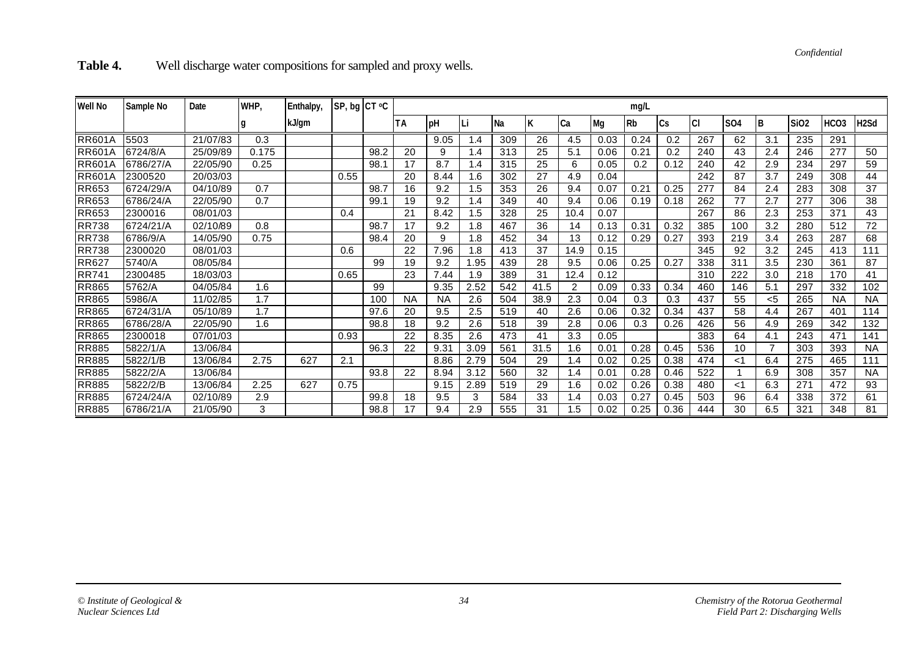*Confidential*

Table 4. Well discharge water compositions for sampled and proxy wells.

| <b>Well No</b> | Sample No | Date     | WHP,  | Enthalpy, | SP, bg CT °C |      |           | mg/L       |        |           |      |                |      |      |      |     |            |                |      |                  |                   |
|----------------|-----------|----------|-------|-----------|--------------|------|-----------|------------|--------|-----------|------|----------------|------|------|------|-----|------------|----------------|------|------------------|-------------------|
|                |           |          |       | kJ/gm     |              |      | ТA        | <b>IpH</b> | ILi    | <b>Na</b> | К    | Ca             | Mg   | l Rb | ICs  | СI  | <b>SO4</b> | l B            | Si02 | HCO <sub>3</sub> | H <sub>2</sub> Sd |
| <b>RR601A</b>  | 5503      | 21/07/83 | 0.3   |           |              |      |           | 9.05       | .4     | 309       | 26   | 4.5            | 0.03 | 0.24 | 0.2  | 267 | 62         | 3.1            | 235  | 291              |                   |
| <b>RR601A</b>  | 6724/8/A  | 25/09/89 | 0.175 |           |              | 98.2 | 20        | 9          | .4     | 313       | 25   | 5.1            | 0.06 | 0.21 | 0.2  | 240 | 43         | 2.4            | 246  | 277              | 50                |
| <b>RR601A</b>  | 6786/27/A | 22/05/90 | 0.25  |           |              | 98.7 | 17        | 8.7        | .4     | 315       | 25   | 6              | 0.05 | 0.2  | 0.12 | 240 | 42         | 2.9            | 234  | 297              | 59                |
| <b>RR601A</b>  | 2300520   | 20/03/03 |       |           | 0.55         |      | 20        | 8.44       | 1.6    | 302       | 27   | 4.9            | 0.04 |      |      | 242 | 87         | 3.7            | 249  | 308              | 44                |
| <b>RR653</b>   | 6724/29/A | 04/10/89 | 0.7   |           |              | 98.7 | 16        | 9.2        | $.5\,$ | 353       | 26   | 9.4            | 0.07 | 0.21 | 0.25 | 277 | 84         | 2.4            | 283  | 308              | 37                |
| <b>RR653</b>   | 6786/24/A | 22/05/90 | 0.7   |           |              | 99.1 | 19        | 9.2        | .4     | 349       | 40   | 9.4            | 0.06 | 0.19 | 0.18 | 262 | 77         | 2.7            | 277  | 306              | 38                |
| <b>RR653</b>   | 2300016   | 08/01/03 |       |           | 0.4          |      | 21        | 8.42       | 1.5    | 328       | 25   | 10.4           | 0.07 |      |      | 267 | 86         | 2.3            | 253  | 371              | 43                |
| <b>RR738</b>   | 6724/21/A | 02/10/89 | 0.8   |           |              | 98.7 | 17        | 9.2        | .8     | 467       | 36   | 14             | 0.13 | 0.31 | 0.32 | 385 | 100        | 3.2            | 280  | 512              | 72                |
| <b>RR738</b>   | 6786/9/A  | 14/05/90 | 0.75  |           |              | 98.4 | 20        | 9          | .8     | 452       | 34   | 13             | 0.12 | 0.29 | 0.27 | 393 | 219        | 3.4            | 263  | 287              | 68                |
| <b>RR738</b>   | 2300020   | 08/01/03 |       |           | 0.6          |      | 22        | 7.96       | 8. ا   | 413       | 37   | 14.9           | 0.15 |      |      | 345 | 92         | 3.2            | 245  | 413              | 111               |
| <b>RR627</b>   | 5740/A    | 08/05/84 |       |           |              | 99   | 19        | 9.2        | .95    | 439       | 28   | 9.5            | 0.06 | 0.25 | 0.27 | 338 | 311        | 3.5            | 230  | 361              | 87                |
| <b>RR741</b>   | 2300485   | 18/03/03 |       |           | 0.65         |      | 23        | 7.44       | .9     | 389       | 31   | 12.4           | 0.12 |      |      | 310 | 222        | 3.0            | 218  | 170              | 41                |
| <b>RR865</b>   | 5762/A    | 04/05/84 | 1.6   |           |              | 99   |           | 9.35       | 2.52   | 542       | 41.5 | $\overline{2}$ | 0.09 | 0.33 | 0.34 | 460 | 146        | 5.1            | 297  | 332              | 102               |
| <b>RR865</b>   | 5986/A    | 11/02/85 | 1.7   |           |              | 100  | <b>NA</b> | <b>NA</b>  | 2.6    | 504       | 38.9 | 2.3            | 0.04 | 0.3  | 0.3  | 437 | 55         | $5$            | 265  | <b>NA</b>        | <b>NA</b>         |
| <b>RR865</b>   | 6724/31/A | 05/10/89 | 1.7   |           |              | 97.6 | 20        | 9.5        | 2.5    | 519       | 40   | 2.6            | 0.06 | 0.32 | 0.34 | 437 | 58         | 4.4            | 267  | 401              | 114               |
| <b>RR865</b>   | 6786/28/A | 22/05/90 | 1.6   |           |              | 98.8 | 18        | 9.2        | 2.6    | 518       | 39   | 2.8            | 0.06 | 0.3  | 0.26 | 426 | 56         | 4.9            | 269  | 342              | 132               |
| <b>RR865</b>   | 2300018   | 07/01/03 |       |           | 0.93         |      | 22        | 8.35       | 2.6    | 473       | 41   | 3.3            | 0.05 |      |      | 383 | 64         | 4.1            | 243  | 471              | 141               |
| <b>RR885</b>   | 5822/1/A  | 13/06/84 |       |           |              | 96.3 | 22        | 9.31       | 3.09   | 561       | 31.5 | 1.6            | 0.01 | 0.28 | 0.45 | 536 | 10         | $\overline{7}$ | 303  | 393              | <b>NA</b>         |
| <b>RR885</b>   | 5822/1/B  | 13/06/84 | 2.75  | 627       | 2.1          |      |           | 8.86       | 2.79   | 504       | 29   | $\mathsf{.4}$  | 0.02 | 0.25 | 0.38 | 474 | <1         | 6.4            | 275  | 465              | 111               |
| <b>RR885</b>   | 5822/2/A  | 13/06/84 |       |           |              | 93.8 | 22        | 8.94       | 3.12   | 560       | 32   | 1.4            | 0.01 | 0.28 | 0.46 | 522 |            | 6.9            | 308  | 357              | <b>NA</b>         |
| <b>RR885</b>   | 5822/2/B  | 13/06/84 | 2.25  | 627       | 0.75         |      |           | 9.15       | 2.89   | 519       | 29   | 1.6            | 0.02 | 0.26 | 0.38 | 480 | <1         | 6.3            | 271  | 472              | 93                |
| <b>RR885</b>   | 6724/24/A | 02/10/89 | 2.9   |           |              | 99.8 | 18        | 9.5        | 3      | 584       | 33   | $\cdot$        | 0.03 | 0.27 | 0.45 | 503 | 96         | 6.4            | 338  | 372              | 61                |
| <b>RR885</b>   | 6786/21/A | 21/05/90 | 3     |           |              | 98.8 | 17        | 9.4        | 2.9    | 555       | 31   | .5             | 0.02 | 0.25 | 0.36 | 444 | 30         | 6.5            | 321  | 348              | 81                |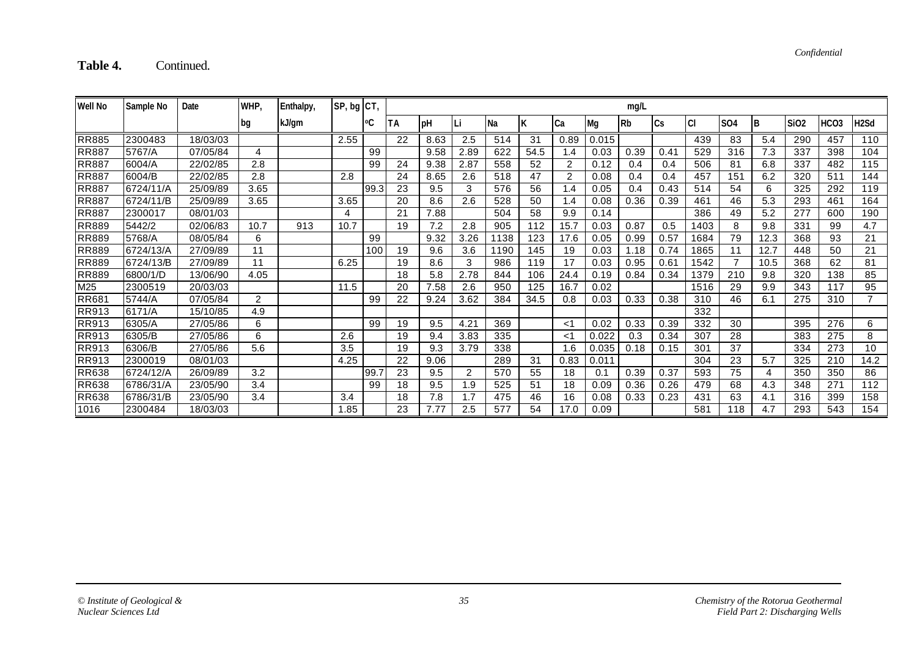### Table 4. Continued.

| Well No      | Sample No | Date     | WHP, | Enthalpy, | SP, bg CT, |      |    | mg/L |               |           |      |            |       |      |      |      |            |      |             |                  |                   |
|--------------|-----------|----------|------|-----------|------------|------|----|------|---------------|-----------|------|------------|-------|------|------|------|------------|------|-------------|------------------|-------------------|
|              |           |          | bg   | kJ/gm     |            | ٥C   | ТA | рH   |               | <b>Na</b> | ĸ    | <b>ICa</b> | Mg    | Rb   | lCs. | СI   | <b>SO4</b> | IΒ   | <b>SiO2</b> | HCO <sub>3</sub> | H <sub>2</sub> Sd |
| <b>RR885</b> | 2300483   | 18/03/03 |      |           | 2.55       |      | 22 | 8.63 | 2.5           | 514       | 31   | 0.89       | 0.015 |      |      | 439  | 83         | 5.4  | 290         | 457              | 110               |
| <b>RR887</b> | 5767/A    | 07/05/84 | 4    |           |            | 99   |    | 9.58 | 2.89          | 622       | 54.5 | 1.4        | 0.03  | 0.39 | 0.41 | 529  | 316        | 7.3  | 337         | 398              | 104               |
| <b>RR887</b> | 6004/A    | 22/02/85 | 2.8  |           |            | 99   | 24 | 9.38 | 2.87          | 558       | 52   | 2          | 0.12  | 0.4  | 0.4  | 506  | 81         | 6.8  | 337         | 482              | 115               |
| <b>RR887</b> | 6004/B    | 22/02/85 | 2.8  |           | 2.8        |      | 24 | 8.65 | 2.6           | 518       | 47   | 2          | 0.08  | 0.4  | 0.4  | 457  | 151        | 6.2  | 320         | 511              | 144               |
| <b>RR887</b> | 6724/11/A | 25/09/89 | 3.65 |           |            | 99.3 | 23 | 9.5  | 3             | 576       | 56   | 1.4        | 0.05  | 0.4  | 0.43 | 514  | 54         | 6    | 325         | 292              | 119               |
| <b>RR887</b> | 6724/11/B | 25/09/89 | 3.65 |           | 3.65       |      | 20 | 8.6  | 2.6           | 528       | 50   | 1.4        | 0.08  | 0.36 | 0.39 | 461  | 46         | 5.3  | 293         | 461              | 164               |
| <b>RR887</b> | 2300017   | 08/01/03 |      |           | 4          |      | 21 | 7.88 |               | 504       | 58   | 9.9        | 0.14  |      |      | 386  | 49         | 5.2  | 277         | 600              | 190               |
| <b>RR889</b> | 5442/2    | 02/06/83 | 10.7 | 913       | 10.7       |      | 19 | 7.2  | 2.8           | 905       | 112  | 15.7       | 0.03  | 0.87 | 0.5  | 1403 | 8          | 9.8  | 331         | 99               | 4.7               |
| <b>RR889</b> | 5768/A    | 08/05/84 | 6    |           |            | 99   |    | 9.32 | 3.26          | 1138      | 123  | 17.6       | 0.05  | 0.99 | 0.57 | 1684 | 79         | 12.3 | 368         | 93               | 21                |
| <b>RR889</b> | 6724/13/A | 27/09/89 | 11   |           |            | 100  | 19 | 9.6  | 3.6           | 1190      | 145  | 19         | 0.03  | 1.18 | 0.74 | 1865 | 11         | 12.7 | 448         | 50               | 21                |
| <b>RR889</b> | 6724/13/B | 27/09/89 | 11   |           | 6.25       |      | 19 | 8.6  | 3             | 986       | 119  | 17         | 0.03  | 0.95 | 0.61 | 1542 | ⇁          | 10.5 | 368         | 62               | 81                |
| <b>RR889</b> | 6800/1/D  | 13/06/90 | 4.05 |           |            |      | 18 | 5.8  | 2.78          | 844       | 106  | 24.4       | 0.19  | 0.84 | 0.34 | 1379 | 210        | 9.8  | 320         | 138              | 85                |
| M25          | 2300519   | 20/03/03 |      |           | 11.5       |      | 20 | 7.58 | 2.6           | 950       | 125  | 16.7       | 0.02  |      |      | 1516 | 29         | 9.9  | 343         | 117              | 95                |
| RR68         | 5744/A    | 07/05/84 | 2    |           |            | 99   | 22 | 9.24 | 3.62          | 384       | 34.5 | 0.8        | 0.03  | 0.33 | 0.38 | 310  | 46         | 6.1  | 275         | 310              | $\overline{ }$    |
| <b>RR913</b> | 6171/A    | 15/10/85 | 4.9  |           |            |      |    |      |               |           |      |            |       |      |      | 332  |            |      |             |                  |                   |
| <b>RR913</b> | 6305/A    | 27/05/86 | 6    |           |            | 99   | 19 | 9.5  | $4.2^{\circ}$ | 369       |      | <1         | 0.02  | 0.33 | 0.39 | 332  | 30         |      | 395         | 276              | 6                 |
| <b>RR913</b> | 6305/B    | 27/05/86 | 6    |           | 2.6        |      | 19 | 9.4  | 3.83          | 335       |      | <1         | 0.022 | 0.3  | 0.34 | 307  | 28         |      | 383         | 275              | 8                 |
| <b>RR913</b> | 6306/B    | 27/05/86 | 5.6  |           | 3.5        |      | 19 | 9.3  | 3.79          | 338       |      | 1.6        | 0.035 | 0.18 | 0.15 | 301  | 37         |      | 334         | 273              | 10                |
| <b>RR913</b> | 2300019   | 08/01/03 |      |           | 4.25       |      | 22 | 9.06 |               | 289       | 31   | 0.83       | 0.011 |      |      | 304  | 23         | 5.7  | 325         | 210              | 14.2              |
| <b>RR638</b> | 6724/12/A | 26/09/89 | 3.2  |           |            | 99.7 | 23 | 9.5  | 2             | 570       | 55   | 18         | 0.1   | 0.39 | 0.37 | 593  | 75         | 4    | 350         | 350              | 86                |
| <b>RR638</b> | 6786/31/A | 23/05/90 | 3.4  |           |            | 99   | 18 | 9.5  | 1.9           | 525       | 51   | 18         | 0.09  | 0.36 | 0.26 | 479  | 68         | 4.3  | 348         | 271              | 112               |
| <b>RR638</b> | 6786/31/B | 23/05/90 | 3.4  |           | 3.4        |      | 18 | 7.8  | 1.7           | 475       | 46   | 16         | 0.08  | 0.33 | 0.23 | 431  | 63         | 4.1  | 316         | 399              | 158               |
| 1016         | 2300484   | 18/03/03 |      |           | 1.85       |      | 23 | 7.77 | 2.5           | 577       | 54   | 17.0       | 0.09  |      |      | 581  | 118        | 4.7  | 293         | 543              | 154               |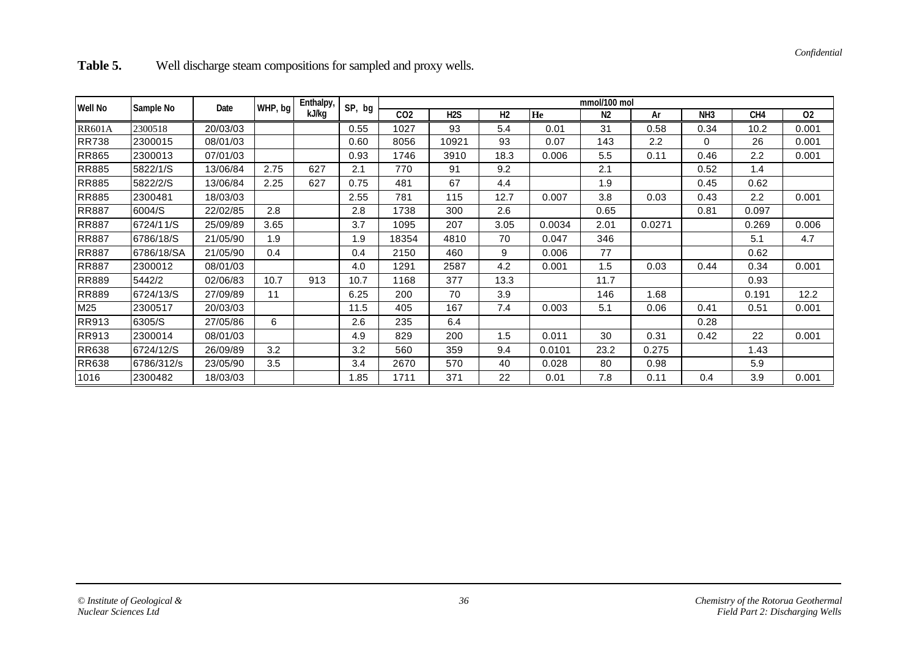| Table 5. | Well discharge steam compositions for sampled and proxy wells. |  |  |
|----------|----------------------------------------------------------------|--|--|
|----------|----------------------------------------------------------------|--|--|

| <b>Well No</b> | Sample No  | Date     | WHP, bg | Enthalpy, | SP, bg | mmol/100 mol    |                  |                |        |                |        |                 |                                                                                                                                            |       |  |
|----------------|------------|----------|---------|-----------|--------|-----------------|------------------|----------------|--------|----------------|--------|-----------------|--------------------------------------------------------------------------------------------------------------------------------------------|-------|--|
|                |            |          |         | kJ/kg     |        | CO <sub>2</sub> | H <sub>2</sub> S | H <sub>2</sub> | He     | N <sub>2</sub> | Ar     | NH <sub>3</sub> | CH <sub>4</sub><br>10.2<br>26<br>$2.2\,$<br>1.4<br>0.62<br>$2.2\,$<br>0.097<br>0.269<br>5.1<br>0.62<br>0.34<br>0.93<br>0.191<br>0.51<br>22 | 02    |  |
| <b>RR601A</b>  | 2300518    | 20/03/03 |         |           | 0.55   | 1027            | 93               | 5.4            | 0.01   | 31             | 0.58   | 0.34            |                                                                                                                                            | 0.001 |  |
| <b>RR738</b>   | 2300015    | 08/01/03 |         |           | 0.60   | 8056            | 10921            | 93             | 0.07   | 143            | 2.2    | 0               |                                                                                                                                            | 0.001 |  |
| <b>RR865</b>   | 2300013    | 07/01/03 |         |           | 0.93   | 1746            | 3910             | 18.3           | 0.006  | 5.5            | 0.11   | 0.46            |                                                                                                                                            | 0.001 |  |
| <b>RR885</b>   | 5822/1/S   | 13/06/84 | 2.75    | 627       | 2.1    | 770             | 91               | 9.2            |        | 2.1            |        | 0.52            |                                                                                                                                            |       |  |
| <b>RR885</b>   | 5822/2/S   | 13/06/84 | 2.25    | 627       | 0.75   | 481             | 67               | 4.4            |        | 1.9            |        | 0.45            |                                                                                                                                            |       |  |
| <b>RR885</b>   | 2300481    | 18/03/03 |         |           | 2.55   | 781             | 115              | 12.7           | 0.007  | 3.8            | 0.03   | 0.43            |                                                                                                                                            | 0.001 |  |
| <b>RR887</b>   | 6004/S     | 22/02/85 | 2.8     |           | 2.8    | 1738            | 300              | 2.6            |        | 0.65           |        | 0.81            |                                                                                                                                            |       |  |
| <b>RR887</b>   | 6724/11/S  | 25/09/89 | 3.65    |           | 3.7    | 1095            | 207              | 3.05           | 0.0034 | 2.01           | 0.0271 |                 |                                                                                                                                            | 0.006 |  |
| <b>RR887</b>   | 6786/18/S  | 21/05/90 | 1.9     |           | 1.9    | 18354           | 4810             | 70             | 0.047  | 346            |        |                 |                                                                                                                                            | 4.7   |  |
| <b>RR887</b>   | 6786/18/SA | 21/05/90 | 0.4     |           | 0.4    | 2150            | 460              | 9              | 0.006  | 77             |        |                 |                                                                                                                                            |       |  |
| <b>RR887</b>   | 2300012    | 08/01/03 |         |           | 4.0    | 1291            | 2587             | 4.2            | 0.001  | 1.5            | 0.03   | 0.44            |                                                                                                                                            | 0.001 |  |
| <b>RR889</b>   | 5442/2     | 02/06/83 | 10.7    | 913       | 10.7   | 1168            | 377              | 13.3           |        | 11.7           |        |                 |                                                                                                                                            |       |  |
| <b>RR889</b>   | 6724/13/S  | 27/09/89 | 11      |           | 6.25   | 200             | 70               | 3.9            |        | 146            | 1.68   |                 |                                                                                                                                            | 12.2  |  |
| M25            | 2300517    | 20/03/03 |         |           | 11.5   | 405             | 167              | 7.4            | 0.003  | 5.1            | 0.06   | 0.41            |                                                                                                                                            | 0.001 |  |
| RR913          | 6305/S     | 27/05/86 | 6       |           | 2.6    | 235             | 6.4              |                |        |                |        | 0.28            |                                                                                                                                            |       |  |
| RR913          | 2300014    | 08/01/03 |         |           | 4.9    | 829             | 200              | 1.5            | 0.011  | 30             | 0.31   | 0.42            |                                                                                                                                            | 0.001 |  |
| <b>RR638</b>   | 6724/12/S  | 26/09/89 | 3.2     |           | 3.2    | 560             | 359              | 9.4            | 0.0101 | 23.2           | 0.275  |                 | 1.43                                                                                                                                       |       |  |
| <b>RR638</b>   | 6786/312/s | 23/05/90 | 3.5     |           | 3.4    | 2670            | 570              | 40             | 0.028  | 80             | 0.98   |                 | 5.9                                                                                                                                        |       |  |
| 1016           | 2300482    | 18/03/03 |         |           | 1.85   | 1711            | 371              | 22             | 0.01   | 7.8            | 0.11   | 0.4             | 3.9                                                                                                                                        | 0.001 |  |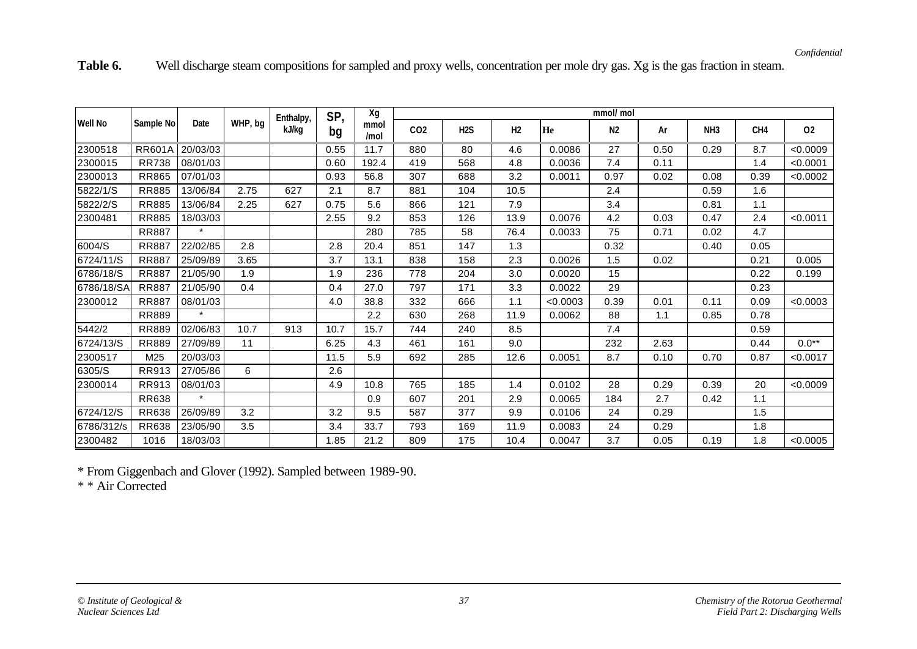Table 6. Well discharge steam compositions for sampled and proxy wells, concentration per mole dry gas. Xg is the gas fraction in steam.

|                |               |          |         | Enthalpy, | SP,  | Xg           | mmol/mol        |                  |                |          |      |      |                 |                                                                                                                                                          |          |  |
|----------------|---------------|----------|---------|-----------|------|--------------|-----------------|------------------|----------------|----------|------|------|-----------------|----------------------------------------------------------------------------------------------------------------------------------------------------------|----------|--|
| <b>Well No</b> | Sample No     | Date     | WHP, bg | kJ/kg     | bg   | mmol<br>/mol | CO <sub>2</sub> | H <sub>2</sub> S | H <sub>2</sub> | He       | N2   | Ar   | NH <sub>3</sub> | CH4<br>8.7<br>1.4<br>0.39<br>1.6<br>1.1<br>2.4<br>4.7<br>0.05<br>0.21<br>0.22<br>0.23<br>0.09<br>0.78<br>0.59<br>0.44<br>0.87<br>20<br>1.1<br>1.5<br>1.8 | 02       |  |
| 2300518        | <b>RR601A</b> | 20/03/03 |         |           | 0.55 | 11.7         | 880             | 80               | 4.6            | 0.0086   | 27   | 0.50 | 0.29            |                                                                                                                                                          | <0.0009  |  |
| 2300015        | <b>RR738</b>  | 08/01/03 |         |           | 0.60 | 192.4        | 419             | 568              | 4.8            | 0.0036   | 7.4  | 0.11 |                 |                                                                                                                                                          | < 0.0001 |  |
| 2300013        | <b>RR865</b>  | 07/01/03 |         |           | 0.93 | 56.8         | 307             | 688              | 3.2            | 0.0011   | 0.97 | 0.02 | 0.08            |                                                                                                                                                          | < 0.0002 |  |
| 5822/1/S       | <b>RR885</b>  | 13/06/84 | 2.75    | 627       | 2.1  | 8.7          | 881             | 104              | 10.5           |          | 2.4  |      | 0.59            |                                                                                                                                                          |          |  |
| 5822/2/S       | <b>RR885</b>  | 13/06/84 | 2.25    | 627       | 0.75 | 5.6          | 866             | 121              | 7.9            |          | 3.4  |      | 0.81            |                                                                                                                                                          |          |  |
| 2300481        | <b>RR885</b>  | 18/03/03 |         |           | 2.55 | 9.2          | 853             | 126              | 13.9           | 0.0076   | 4.2  | 0.03 | 0.47            |                                                                                                                                                          | < 0.0011 |  |
|                | <b>RR887</b>  | $\star$  |         |           |      | 280          | 785             | 58               | 76.4           | 0.0033   | 75   | 0.71 | 0.02            |                                                                                                                                                          |          |  |
| 6004/S         | <b>RR887</b>  | 22/02/85 | 2.8     |           | 2.8  | 20.4         | 851             | 147              | 1.3            |          | 0.32 |      | 0.40            |                                                                                                                                                          |          |  |
| 6724/11/S      | <b>RR887</b>  | 25/09/89 | 3.65    |           | 3.7  | 13.1         | 838             | 158              | 2.3            | 0.0026   | 1.5  | 0.02 |                 |                                                                                                                                                          | 0.005    |  |
| 6786/18/S      | <b>RR887</b>  | 21/05/90 | 1.9     |           | 1.9  | 236          | 778             | 204              | 3.0            | 0.0020   | 15   |      |                 |                                                                                                                                                          | 0.199    |  |
| 6786/18/SA     | <b>RR887</b>  | 21/05/90 | 0.4     |           | 0.4  | 27.0         | 797             | 171              | 3.3            | 0.0022   | 29   |      |                 |                                                                                                                                                          |          |  |
| 2300012        | <b>RR887</b>  | 08/01/03 |         |           | 4.0  | 38.8         | 332             | 666              | 1.1            | < 0.0003 | 0.39 | 0.01 | 0.11            |                                                                                                                                                          | < 0.0003 |  |
|                | <b>RR889</b>  | $\star$  |         |           |      | 2.2          | 630             | 268              | 11.9           | 0.0062   | 88   | 1.1  | 0.85            |                                                                                                                                                          |          |  |
| 5442/2         | <b>RR889</b>  | 02/06/83 | 10.7    | 913       | 10.7 | 15.7         | 744             | 240              | 8.5            |          | 7.4  |      |                 |                                                                                                                                                          |          |  |
| 6724/13/S      | <b>RR889</b>  | 27/09/89 | 11      |           | 6.25 | 4.3          | 461             | 161              | 9.0            |          | 232  | 2.63 |                 |                                                                                                                                                          | $0.0**$  |  |
| 2300517        | M25           | 20/03/03 |         |           | 11.5 | 5.9          | 692             | 285              | 12.6           | 0.0051   | 8.7  | 0.10 | 0.70            |                                                                                                                                                          | < 0.0017 |  |
| 6305/S         | RR913         | 27/05/86 | 6       |           | 2.6  |              |                 |                  |                |          |      |      |                 |                                                                                                                                                          |          |  |
| 2300014        | RR913         | 08/01/03 |         |           | 4.9  | 10.8         | 765             | 185              | 1.4            | 0.0102   | 28   | 0.29 | 0.39            |                                                                                                                                                          | < 0.0009 |  |
|                | RR638         | $\star$  |         |           |      | 0.9          | 607             | 201              | 2.9            | 0.0065   | 184  | 2.7  | 0.42            |                                                                                                                                                          |          |  |
| 6724/12/S      | <b>RR638</b>  | 26/09/89 | 3.2     |           | 3.2  | 9.5          | 587             | 377              | 9.9            | 0.0106   | 24   | 0.29 |                 |                                                                                                                                                          |          |  |
| 6786/312/s     | RR638         | 23/05/90 | 3.5     |           | 3.4  | 33.7         | 793             | 169              | 11.9           | 0.0083   | 24   | 0.29 |                 |                                                                                                                                                          |          |  |
| 2300482        | 1016          | 18/03/03 |         |           | 1.85 | 21.2         | 809             | 175              | 10.4           | 0.0047   | 3.7  | 0.05 | 0.19            | 1.8                                                                                                                                                      | < 0.0005 |  |

\* From Giggenbach and Glover (1992). Sampled between 1989-90.

\* \* Air Corrected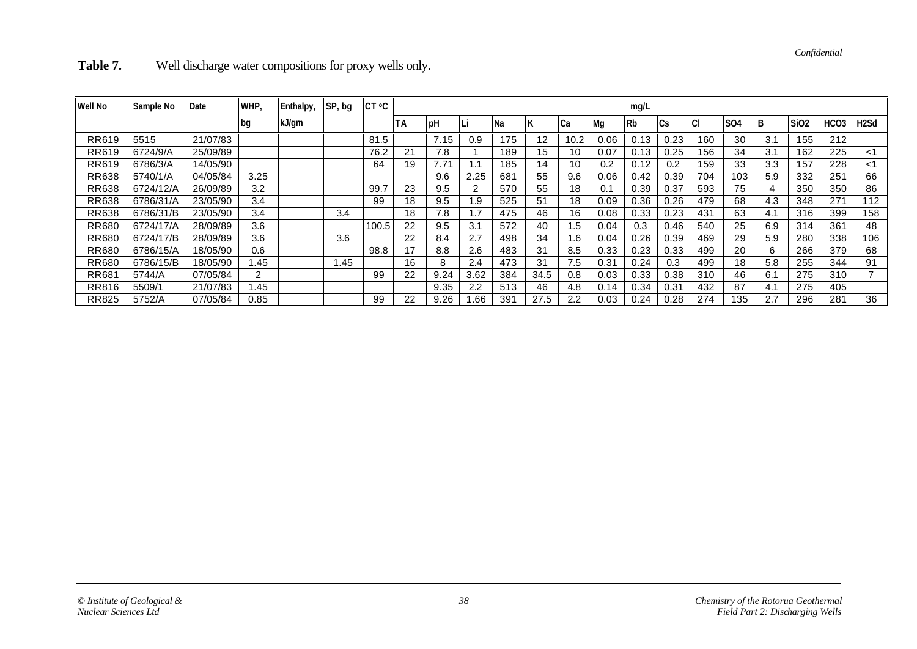*Confidential*

Table 7. Well discharge water compositions for proxy wells only.

| <b>Well No</b> | Sample No | Date     | WHP, | Enthalpy, | SP, bg | CT °C |    |             |      |      |      |      |      | mg/L |      |     |                 |     |             |                  |                   |
|----------------|-----------|----------|------|-----------|--------|-------|----|-------------|------|------|------|------|------|------|------|-----|-----------------|-----|-------------|------------------|-------------------|
|                |           |          | bg   | kJ/gm     |        |       | ΤA | <b>I</b> pH |      | l Na |      | Cа   | Mg   | l Rb | ICs  | ICI | SO <sub>4</sub> | ΙB  | <b>SiO2</b> | HCO <sub>3</sub> | H <sub>2</sub> Sd |
| RR619          | 5515      | 21/07/83 |      |           |        | 81.5  |    | 7.15        | 0.9  | 175  | 12   | 10.2 | 0.06 | 0.13 | 0.23 | 160 | 30              | 3.1 | 155         | 212              |                   |
| RR619          | 6724/9/A  | 25/09/89 |      |           |        | 76.2  | 21 | 7.8         |      | 189  | 15   | 10   | 0.07 | 0.13 | 0.25 | 156 | 34              | 3.1 | 162         | 225              | <1                |
| RR619          | 6786/3/A  | 14/05/90 |      |           |        | 64    | 19 | 7.71        |      | 185  | 14   | 10   | 0.2  | 0.12 | 0.2  | 159 | 33              | 3.3 | 157         | 228              | <1                |
| <b>RR638</b>   | 5740/1/A  | 04/05/84 | 3.25 |           |        |       |    | 9.6         | 2.25 | 681  | 55   | 9.6  | 0.06 | 0.42 | 0.39 | 704 | 103             | 5.9 | 332         | 251              | 66                |
| <b>RR638</b>   | 6724/12/A | 26/09/89 | 3.2  |           |        | 99.7  | 23 | 9.5         |      | 570  | 55   | 18   | 0.1  | 0.39 | 0.37 | 593 | 75              | 4   | 350         | 350              | 86                |
| <b>RR638</b>   | 6786/31/A | 23/05/90 | 3.4  |           |        | 99    | 18 | 9.5         | .9   | 525  | 51   | 18   | 0.09 | 0.36 | 0.26 | 479 | 68              | 4.3 | 348         | 271              | 112               |
| <b>RR638</b>   | 6786/31/B | 23/05/90 | 3.4  |           | 3.4    |       | 18 | 7.8         |      | 475  | 46   | 16   | 0.08 | 0.33 | 0.23 | 431 | 63              | 4.1 | 316         | 399              | 158               |
| <b>RR680</b>   | 6724/17/A | 28/09/89 | 3.6  |           |        | 100.5 | 22 | 9.5         | 3.1  | 572  | 40   | .5   | 0.04 | 0.3  | 0.46 | 540 | 25              | 6.9 | 314         | 361              | 48                |
| <b>RR680</b>   | 6724/17/B | 28/09/89 | 3.6  |           | 3.6    |       | 22 | 8.4         | 2.7  | 498  | 34   | .6   | 0.04 | 0.26 | 0.39 | 469 | 29              | 5.9 | 280         | 338              | 106               |
| <b>RR680</b>   | 6786/15/A | 18/05/90 | 0.6  |           |        | 98.8  | 17 | 8.8         | 2.6  | 483  | 31   | 8.5  | .33  | 0.23 | 0.33 | 499 | 20              | 6   | 266         | 379              | 68                |
| <b>RR680</b>   | 6786/15/B | 18/05/90 | 1.45 |           | 1.45   |       | 16 |             | 2.4  | 473  | 31   | 7.5  | 0.31 | 0.24 | 0.3  | 499 | 18              | 5.8 | 255         | 344              | 91                |
| RR681          | 5744/A    | 07/05/84 | ົ    |           |        | 99    | 22 | 9.24        | 3.62 | 384  | 34.5 | 0.8  | 0.03 | 0.33 | 0.38 | 310 | 46              | 6.1 | 275         | 310              |                   |
| <b>RR816</b>   | 5509/1    | 21/07/83 | l.45 |           |        |       |    | 9.35        | 2.2  | 513  | 46   | 4.8  | 0.14 | 0.34 | 0.31 | 432 | 87              | 4.1 | 275         | 405              |                   |
| <b>RR825</b>   | 5752/A    | 07/05/84 | 0.85 |           |        | 99    | 22 | 9.26        | .66  | 391  | 27.5 | 2.2  | 0.03 | 0.24 | 0.28 | 274 | 135             | 2.7 | 296         | 281              | 36                |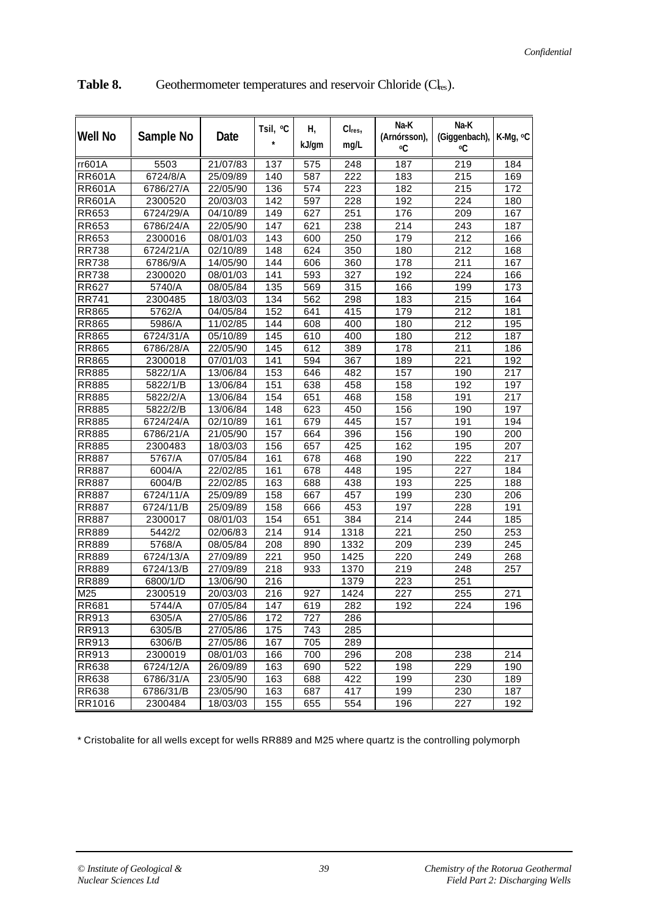| <b>Well No</b> | Sample No | Date                  | Tsil, <sup>o</sup> C | Н,<br>kJ/gm | Cl <sub>res</sub><br>mg/L | Na-K<br>(Arnórsson),<br>οC | Na-K<br>(Giggenbach),<br>٥C | K-Mg, <sup>o</sup> C |
|----------------|-----------|-----------------------|----------------------|-------------|---------------------------|----------------------------|-----------------------------|----------------------|
| rr601A         | 5503      | 21/07/83              | 137                  | 575         | $\overline{248}$          | 187                        | 219                         | 184                  |
| <b>RR601A</b>  | 6724/8/A  | 25/09/89              | 140                  | 587         | 222                       | 183                        | 215                         | 169                  |
| <b>RR601A</b>  | 6786/27/A | 22/05/90              | 136                  | 574         | 223                       | 182                        | 215                         | 172                  |
| <b>RR601A</b>  | 2300520   | 20/03/03              | 142                  | 597         | 228                       | 192                        | 224                         | 180                  |
| RR653          | 6724/29/A | $\overline{04/1}0/89$ | 149                  | 627         | 251                       | 176                        | 209                         | 167                  |
| RR653          | 6786/24/A | 22/05/90              | 147                  | 621         | 238                       | 214                        | 243                         | 187                  |
| RR653          | 2300016   | 08/01/03              | 143                  | 600         | 250                       | 179                        | 212                         | 166                  |
| <b>RR738</b>   | 6724/21/A | 02/10/89              | 148                  | 624         | 350                       | 180                        | 212                         | 168                  |
| <b>RR738</b>   | 6786/9/A  | 14/05/90              | 144                  | 606         | 360                       | 178                        | 211                         | 167                  |
| <b>RR738</b>   | 2300020   | 08/01/03              | 141                  | 593         | 327                       | 192                        | 224                         | 166                  |
| <b>RR627</b>   | 5740/A    | 08/05/84              | 135                  | 569         | 315                       | 166                        | 199                         | 173                  |
| <b>RR741</b>   | 2300485   | 18/03/03              | 134                  | 562         | 298                       | 183                        | 215                         | 164                  |
| <b>RR865</b>   | 5762/A    | 04/05/84              | 152                  | 641         | 415                       | 179                        | 212                         | 181                  |
| <b>RR865</b>   | 5986/A    | 11/02/85              | 144                  | 608         | 400                       | 180                        | 212                         | 195                  |
| <b>RR865</b>   | 6724/31/A | 05/10/89              | 145                  | 610         | 400                       | 180                        | 212                         | 187                  |
| <b>RR865</b>   | 6786/28/A | 22/05/90              | 145                  | 612         | 389                       | 178                        | 211                         | 186                  |
| <b>RR865</b>   | 2300018   | 07/01/03              | 141                  | 594         | 367                       | 189                        | 221                         | 192                  |
| <b>RR885</b>   | 5822/1/A  | 13/06/84              | 153                  | 646         | 482                       | 157                        | 190                         | 217                  |
| <b>RR885</b>   | 5822/1/B  | 13/06/84              | 151                  | 638         | 458                       | 158                        | 192                         | 197                  |
| <b>RR885</b>   | 5822/2/A  | 13/06/84              | 154                  | 651         | 468                       | 158                        | 191                         | 217                  |
| <b>RR885</b>   | 5822/2/B  | 13/06/84              | 148                  | 623         | 450                       | 156                        | 190                         | 197                  |
| <b>RR885</b>   | 6724/24/A | 02/10/89              | 161                  | 679         | 445                       | 157                        | 191                         | 194                  |
| <b>RR885</b>   | 6786/21/A | 21/05/90              | 157                  | 664         | 396                       | 156                        | 190                         | 200                  |
| <b>RR885</b>   | 2300483   | 18/03/03              | 156                  | 657         | 425                       | 162                        | 195                         | 207                  |
| <b>RR887</b>   | 5767/A    | 07/05/84              | 161                  | 678         | 468                       | 190                        | 222                         | 217                  |
| <b>RR887</b>   | 6004/A    | 22/02/85              | 161                  | 678         | 448                       | 195                        | 227                         | 184                  |
| <b>RR887</b>   | 6004/B    | 22/02/85              | 163                  | 688         | 438                       | 193                        | 225                         | 188                  |
| <b>RR887</b>   | 6724/11/A | 25/09/89              | 158                  | 667         | 457                       | 199                        | 230                         | 206                  |
| <b>RR887</b>   | 6724/11/B | 25/09/89              | 158                  | 666         | 453                       | 197                        | 228                         | 191                  |
| <b>RR887</b>   | 2300017   | 08/01/03              | 154                  | 651         | 384                       | 214                        | 244                         | 185                  |
| <b>RR889</b>   | 5442/2    | 02/06/83              | 214                  | 914         | 1318                      | 221                        | 250                         | 253                  |
| <b>RR889</b>   | 5768/A    | 08/05/84              | 208                  | 890         | 1332                      | 209                        | 239                         | 245                  |
| <b>RR889</b>   | 6724/13/A | 27/09/89              | 221                  | 950         | 1425                      | 220                        | 249                         | 268                  |
| <b>RR889</b>   | 6724/13/B | 27/09/89              | 218                  | 933         | 1370                      | 219                        | 248                         | 257                  |
| <b>RR889</b>   | 6800/1/D  | 13/06/90              | 216                  |             | 1379                      | 223                        | 251                         |                      |
| M25            | 2300519   | 20/03/03              | 216                  | 927         | 1424                      | 227                        | 255                         | 271                  |
| <b>RR681</b>   | 5744/A    | 07/05/84              | 147                  | 619         | 282                       | 192                        | $\overline{224}$            | 196                  |
| <b>RR913</b>   | 6305/A    | 27/05/86              | 172                  | 727         | 286                       |                            |                             |                      |
| <b>RR913</b>   | 6305/B    | 27/05/86              | 175                  | 743         | 285                       |                            |                             |                      |
| RR913          | 6306/B    | 27/05/86              | 167                  | 705         | 289                       |                            |                             |                      |
| RR913          | 2300019   | 08/01/03              | 166                  | 700         | 296                       | 208                        | 238                         | 214                  |
| <b>RR638</b>   | 6724/12/A | 26/09/89              | 163                  | 690         | 522                       | 198                        | 229                         | 190                  |
| <b>RR638</b>   | 6786/31/A | 23/05/90              | 163                  | 688         | 422                       | 199                        | 230                         | 189                  |
| <b>RR638</b>   | 6786/31/B | 23/05/90              | 163                  | 687         | 417                       | 199                        | 230                         | 187                  |
| RR1016         | 2300484   | 18/03/03              | 155                  | 655         | 554                       | 196                        | 227                         | 192                  |

Table 8. Geothermometer temperatures and reservoir Chloride (Cl<sub>res</sub>).

\* Cristobalite for all wells except for wells RR889 and M25 where quartz is the controlling polymorph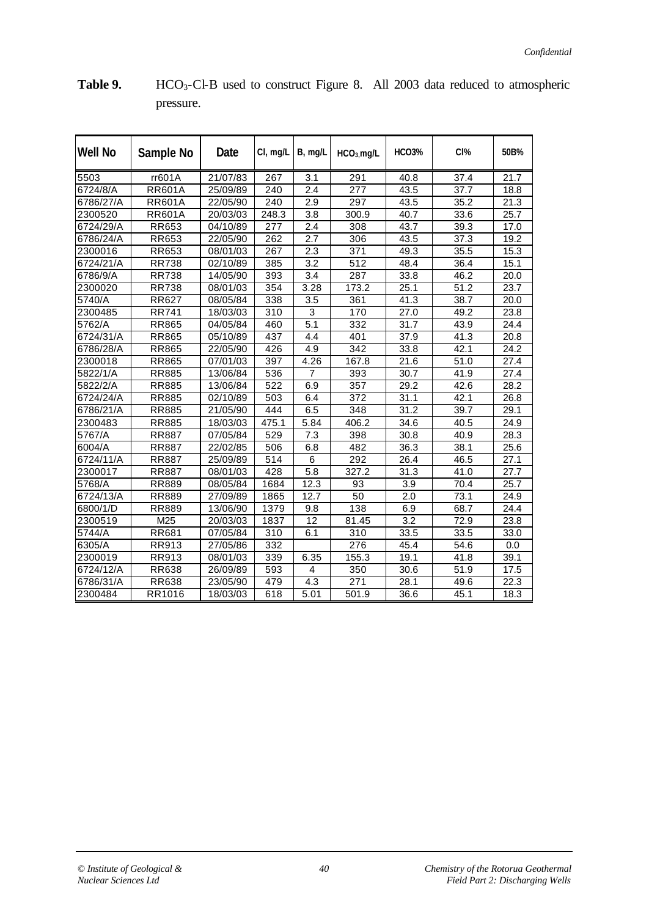| <b>Well No</b> | Sample No     | Date     | CI, mg/L | $B$ , mg/L       | $HCO3$ mg/L      | <b>HCO3%</b>      | CI%  | 50B% |
|----------------|---------------|----------|----------|------------------|------------------|-------------------|------|------|
| 5503           | rr601A        | 21/07/83 | 267      | 3.1              | 291              | 40.8              | 37.4 | 21.7 |
| 6724/8/A       | <b>RR601A</b> | 25/09/89 | 240      | 2.4              | $\overline{277}$ | 43.5              | 37.7 | 18.8 |
| 6786/27/A      | <b>RR601A</b> | 22/05/90 | 240      | 2.9              | 297              | 43.5              | 35.2 | 21.3 |
| 2300520        | <b>RR601A</b> | 20/03/03 | 248.3    | $\overline{3.8}$ | 300.9            | 40.7              | 33.6 | 25.7 |
| 6724/29/A      | RR653         | 04/10/89 | 277      | 2.4              | 308              | 43.7              | 39.3 | 17.0 |
| 6786/24/A      | RR653         | 22/05/90 | 262      | 2.7              | 306              | 43.5              | 37.3 | 19.2 |
| 2300016        | RR653         | 08/01/03 | 267      | 2.3              | 371              | 49.3              | 35.5 | 15.3 |
| 6724/21/A      | <b>RR738</b>  | 02/10/89 | 385      | 3.2              | 512              | 48.4              | 36.4 | 15.1 |
| 6786/9/A       | <b>RR738</b>  | 14/05/90 | 393      | 3.4              | 287              | 33.8              | 46.2 | 20.0 |
| 2300020        | <b>RR738</b>  | 08/01/03 | 354      | 3.28             | 173.2            | 25.1              | 51.2 | 23.7 |
| 5740/A         | <b>RR627</b>  | 08/05/84 | 338      | 3.5              | 361              | $\overline{4}1.3$ | 38.7 | 20.0 |
| 2300485        | <b>RR741</b>  | 18/03/03 | 310      | 3                | 170              | 27.0              | 49.2 | 23.8 |
| 5762/A         | <b>RR865</b>  | 04/05/84 | 460      | 5.1              | 332              | 31.7              | 43.9 | 24.4 |
| 6724/31/A      | <b>RR865</b>  | 05/10/89 | 437      | 4.4              | 401              | 37.9              | 41.3 | 20.8 |
| 6786/28/A      | <b>RR865</b>  | 22/05/90 | 426      | 4.9              | 342              | 33.8              | 42.1 | 24.2 |
| 2300018        | <b>RR865</b>  | 07/01/03 | 397      | 4.26             | 167.8            | 21.6              | 51.0 | 27.4 |
| 5822/1/A       | <b>RR885</b>  | 13/06/84 | 536      | 7                | 393              | 30.7              | 41.9 | 27.4 |
| 5822/2/A       | <b>RR885</b>  | 13/06/84 | 522      | 6.9              | 357              | 29.2              | 42.6 | 28.2 |
| 6724/24/A      | <b>RR885</b>  | 02/10/89 | 503      | 6.4              | 372              | 31.1              | 42.1 | 26.8 |
| 6786/21/A      | <b>RR885</b>  | 21/05/90 | 444      | 6.5              | 348              | 31.2              | 39.7 | 29.1 |
| 2300483        | <b>RR885</b>  | 18/03/03 | 475.1    | 5.84             | 406.2            | 34.6              | 40.5 | 24.9 |
| 5767/A         | <b>RR887</b>  | 07/05/84 | 529      | 7.3              | 398              | 30.8              | 40.9 | 28.3 |
| 6004/A         | RR887         | 22/02/85 | 506      | 6.8              | 482              | 36.3              | 38.1 | 25.6 |
| 6724/11/A      | <b>RR887</b>  | 25/09/89 | 514      | 6                | 292              | 26.4              | 46.5 | 27.1 |
| 2300017        | <b>RR887</b>  | 08/01/03 | 428      | 5.8              | 327.2            | 31.3              | 41.0 | 27.7 |
| 5768/A         | <b>RR889</b>  | 08/05/84 | 1684     | 12.3             | 93               | 3.9               | 70.4 | 25.7 |
| 6724/13/A      | <b>RR889</b>  | 27/09/89 | 1865     | 12.7             | 50               | 2.0               | 73.1 | 24.9 |
| 6800/1/D       | <b>RR889</b>  | 13/06/90 | 1379     | 9.8              | 138              | 6.9               | 68.7 | 24.4 |
| 2300519        | M25           | 20/03/03 | 1837     | 12               | 81.45            | 3.2               | 72.9 | 23.8 |
| 5744/A         | <b>RR681</b>  | 07/05/84 | 310      | 6.1              | 310              | 33.5              | 33.5 | 33.0 |
| 6305/A         | RR913         | 27/05/86 | 332      |                  | 276              | 45.4              | 54.6 | 0.0  |
| 2300019        | RR913         | 08/01/03 | 339      | 6.35             | 155.3            | 19.1              | 41.8 | 39.1 |
| 6724/12/A      | RR638         | 26/09/89 | 593      | 4                | 350              | 30.6              | 51.9 | 17.5 |
| 6786/31/A      | RR638         | 23/05/90 | 479      | 4.3              | 271              | 28.1              | 49.6 | 22.3 |
| 2300484        | RR1016        | 18/03/03 | 618      | 5.01             | 501.9            | 36.6              | 45.1 | 18.3 |

Table 9. **HCO<sub>3</sub>-Cl-B** used to construct Figure 8. All 2003 data reduced to atmospheric pressure.